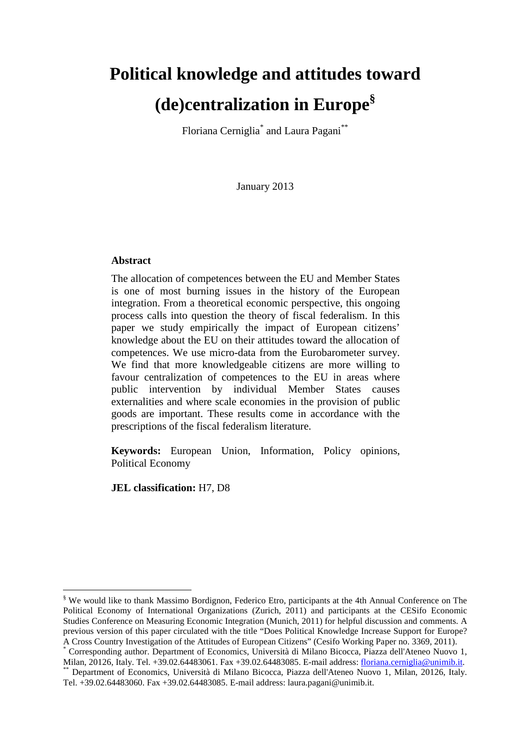# **Political knowledge and attitudes toward (de)centralization in Europe§**

Floriana Cerniglia<sup>\*</sup> and Laura Pagani<sup>\*\*</sup>

January 2013

#### **Abstract**

The allocation of competences between the EU and Member States is one of most burning issues in the history of the European integration. From a theoretical economic perspective, this ongoing process calls into question the theory of fiscal federalism. In this paper we study empirically the impact of European citizens' knowledge about the EU on their attitudes toward the allocation of competences. We use micro-data from the Eurobarometer survey. We find that more knowledgeable citizens are more willing to favour centralization of competences to the EU in areas where public intervention by individual Member States causes externalities and where scale economies in the provision of public goods are important. These results come in accordance with the prescriptions of the fiscal federalism literature.

**Keywords:** European Union, Information, Policy opinions, Political Economy

**JEL classification:** H7, D8

<sup>§</sup> We would like to thank Massimo Bordignon, Federico Etro, participants at the 4th Annual Conference on The Political Economy of International Organizations (Zurich, 2011) and participants at the CESifo Economic Studies Conference on Measuring Economic Integration (Munich, 2011) for helpful discussion and comments. A previous version of this paper circulated with the title "Does Political Knowledge Increase Support for Europe? A Cross Country Investigation of the Attitudes of European Citizens" (Cesifo Working Paper no. 3369, 2011).

<sup>\*</sup> Corresponding author. Department of Economics, Università di Milano Bicocca, Piazza dell'Ateneo Nuovo 1, Milan, 20126, Italy. Tel. +39.02.64483061. Fax +39.02.64483085. E-mail address: floriana.cerniglia@unimib.it.

Department of Economics, Università di Milano Bicocca, Piazza dell'Ateneo Nuovo 1, Milan, 20126, Italy. Tel. +39.02.64483060. Fax +39.02.64483085. E-mail address: laura.pagani@unimib.it.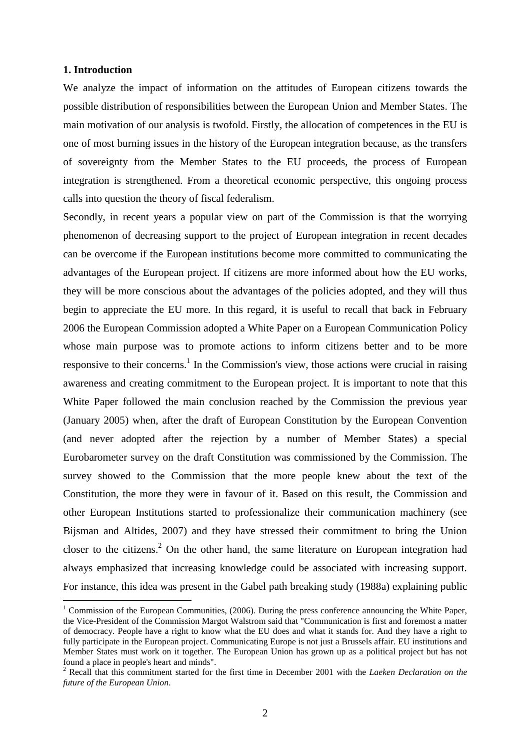#### **1. Introduction**

 $\overline{a}$ 

We analyze the impact of information on the attitudes of European citizens towards the possible distribution of responsibilities between the European Union and Member States. The main motivation of our analysis is twofold. Firstly, the allocation of competences in the EU is one of most burning issues in the history of the European integration because, as the transfers of sovereignty from the Member States to the EU proceeds, the process of European integration is strengthened. From a theoretical economic perspective, this ongoing process calls into question the theory of fiscal federalism.

Secondly, in recent years a popular view on part of the Commission is that the worrying phenomenon of decreasing support to the project of European integration in recent decades can be overcome if the European institutions become more committed to communicating the advantages of the European project. If citizens are more informed about how the EU works, they will be more conscious about the advantages of the policies adopted, and they will thus begin to appreciate the EU more. In this regard, it is useful to recall that back in February 2006 the European Commission adopted a White Paper on a European Communication Policy whose main purpose was to promote actions to inform citizens better and to be more responsive to their concerns.<sup>1</sup> In the Commission's view, those actions were crucial in raising awareness and creating commitment to the European project. It is important to note that this White Paper followed the main conclusion reached by the Commission the previous year (January 2005) when, after the draft of European Constitution by the European Convention (and never adopted after the rejection by a number of Member States) a special Eurobarometer survey on the draft Constitution was commissioned by the Commission. The survey showed to the Commission that the more people knew about the text of the Constitution, the more they were in favour of it. Based on this result, the Commission and other European Institutions started to professionalize their communication machinery (see Bijsman and Altides, 2007) and they have stressed their commitment to bring the Union closer to the citizens.<sup>2</sup> On the other hand, the same literature on European integration had always emphasized that increasing knowledge could be associated with increasing support. For instance, this idea was present in the Gabel path breaking study (1988a) explaining public

<sup>&</sup>lt;sup>1</sup> Commission of the European Communities, (2006). During the press conference announcing the White Paper, the Vice-President of the Commission Margot Walstrom said that "Communication is first and foremost a matter of democracy. People have a right to know what the EU does and what it stands for. And they have a right to fully participate in the European project. Communicating Europe is not just a Brussels affair. EU institutions and Member States must work on it together. The European Union has grown up as a political project but has not found a place in people's heart and minds".

<sup>2</sup> Recall that this commitment started for the first time in December 2001 with the *Laeken Declaration on the future of the European Union*.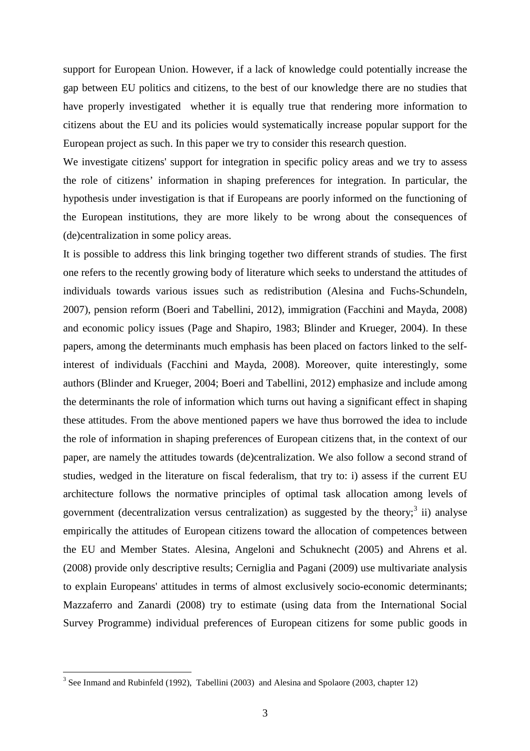support for European Union. However, if a lack of knowledge could potentially increase the gap between EU politics and citizens, to the best of our knowledge there are no studies that have properly investigated whether it is equally true that rendering more information to citizens about the EU and its policies would systematically increase popular support for the European project as such. In this paper we try to consider this research question.

We investigate citizens' support for integration in specific policy areas and we try to assess the role of citizens' information in shaping preferences for integration. In particular, the hypothesis under investigation is that if Europeans are poorly informed on the functioning of the European institutions, they are more likely to be wrong about the consequences of (de)centralization in some policy areas.

It is possible to address this link bringing together two different strands of studies. The first one refers to the recently growing body of literature which seeks to understand the attitudes of individuals towards various issues such as redistribution (Alesina and Fuchs-Schundeln, 2007), pension reform (Boeri and Tabellini, 2012), immigration (Facchini and Mayda, 2008) and economic policy issues (Page and Shapiro, 1983; Blinder and Krueger, 2004). In these papers, among the determinants much emphasis has been placed on factors linked to the selfinterest of individuals (Facchini and Mayda, 2008). Moreover, quite interestingly, some authors (Blinder and Krueger, 2004; Boeri and Tabellini, 2012) emphasize and include among the determinants the role of information which turns out having a significant effect in shaping these attitudes. From the above mentioned papers we have thus borrowed the idea to include the role of information in shaping preferences of European citizens that, in the context of our paper, are namely the attitudes towards (de)centralization. We also follow a second strand of studies, wedged in the literature on fiscal federalism, that try to: i) assess if the current EU architecture follows the normative principles of optimal task allocation among levels of government (decentralization versus centralization) as suggested by the theory;<sup>3</sup> ii) analyse empirically the attitudes of European citizens toward the allocation of competences between the EU and Member States. Alesina, Angeloni and Schuknecht (2005) and Ahrens et al. (2008) provide only descriptive results; Cerniglia and Pagani (2009) use multivariate analysis to explain Europeans' attitudes in terms of almost exclusively socio-economic determinants; Mazzaferro and Zanardi (2008) try to estimate (using data from the International Social Survey Programme) individual preferences of European citizens for some public goods in

 $3$  See Inmand and Rubinfeld (1992), Tabellini (2003) and Alesina and Spolaore (2003, chapter 12)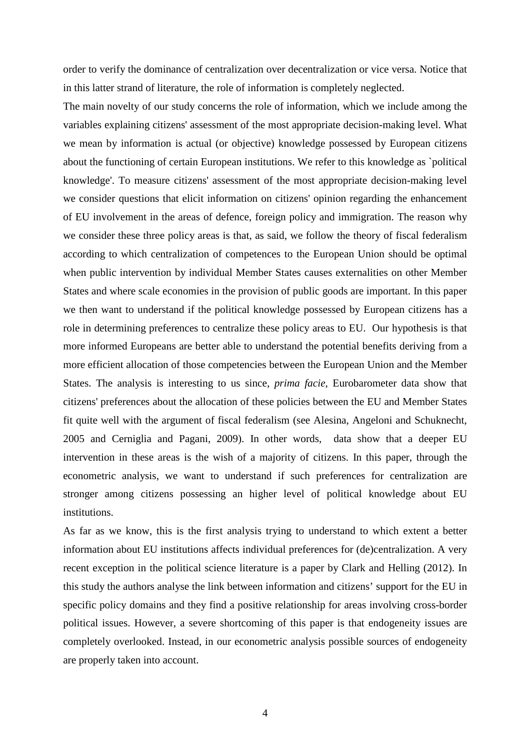order to verify the dominance of centralization over decentralization or vice versa. Notice that in this latter strand of literature, the role of information is completely neglected.

The main novelty of our study concerns the role of information, which we include among the variables explaining citizens' assessment of the most appropriate decision-making level. What we mean by information is actual (or objective) knowledge possessed by European citizens about the functioning of certain European institutions. We refer to this knowledge as `political knowledge'. To measure citizens' assessment of the most appropriate decision-making level we consider questions that elicit information on citizens' opinion regarding the enhancement of EU involvement in the areas of defence, foreign policy and immigration. The reason why we consider these three policy areas is that, as said, we follow the theory of fiscal federalism according to which centralization of competences to the European Union should be optimal when public intervention by individual Member States causes externalities on other Member States and where scale economies in the provision of public goods are important. In this paper we then want to understand if the political knowledge possessed by European citizens has a role in determining preferences to centralize these policy areas to EU. Our hypothesis is that more informed Europeans are better able to understand the potential benefits deriving from a more efficient allocation of those competencies between the European Union and the Member States. The analysis is interesting to us since, *prima facie*, Eurobarometer data show that citizens' preferences about the allocation of these policies between the EU and Member States fit quite well with the argument of fiscal federalism (see Alesina, Angeloni and Schuknecht, 2005 and Cerniglia and Pagani, 2009). In other words, data show that a deeper EU intervention in these areas is the wish of a majority of citizens. In this paper, through the econometric analysis, we want to understand if such preferences for centralization are stronger among citizens possessing an higher level of political knowledge about EU institutions.

As far as we know, this is the first analysis trying to understand to which extent a better information about EU institutions affects individual preferences for (de)centralization. A very recent exception in the political science literature is a paper by Clark and Helling (2012). In this study the authors analyse the link between information and citizens' support for the EU in specific policy domains and they find a positive relationship for areas involving cross-border political issues. However, a severe shortcoming of this paper is that endogeneity issues are completely overlooked. Instead, in our econometric analysis possible sources of endogeneity are properly taken into account.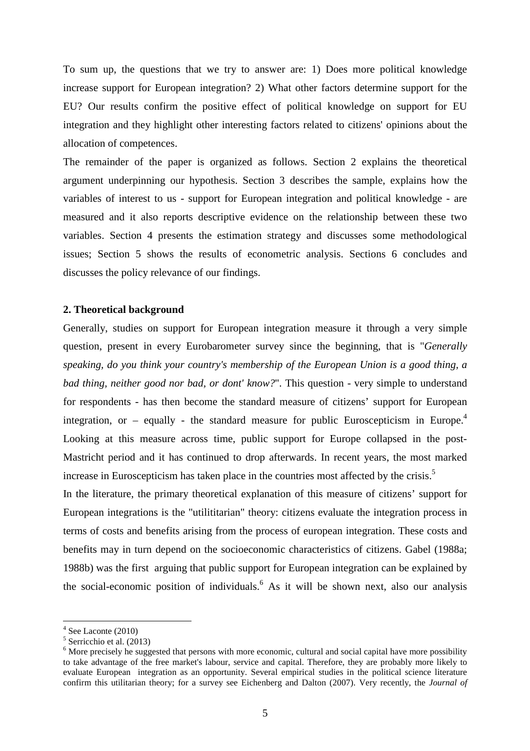To sum up, the questions that we try to answer are: 1) Does more political knowledge increase support for European integration? 2) What other factors determine support for the EU? Our results confirm the positive effect of political knowledge on support for EU integration and they highlight other interesting factors related to citizens' opinions about the allocation of competences.

The remainder of the paper is organized as follows. Section 2 explains the theoretical argument underpinning our hypothesis. Section 3 describes the sample, explains how the variables of interest to us - support for European integration and political knowledge - are measured and it also reports descriptive evidence on the relationship between these two variables. Section 4 presents the estimation strategy and discusses some methodological issues; Section 5 shows the results of econometric analysis. Sections 6 concludes and discusses the policy relevance of our findings.

#### **2. Theoretical background**

Generally, studies on support for European integration measure it through a very simple question, present in every Eurobarometer survey since the beginning, that is "*Generally speaking, do you think your country's membership of the European Union is a good thing, a bad thing, neither good nor bad, or dont' know?*". This question - very simple to understand for respondents - has then become the standard measure of citizens' support for European integration, or – equally - the standard measure for public Euroscepticism in Europe.<sup>4</sup> Looking at this measure across time, public support for Europe collapsed in the post-Mastricht period and it has continued to drop afterwards. In recent years, the most marked increase in Euroscepticism has taken place in the countries most affected by the crisis.<sup>5</sup>

In the literature, the primary theoretical explanation of this measure of citizens' support for European integrations is the "utilititarian" theory: citizens evaluate the integration process in terms of costs and benefits arising from the process of european integration. These costs and benefits may in turn depend on the socioeconomic characteristics of citizens. Gabel (1988a; 1988b) was the first arguing that public support for European integration can be explained by the social-economic position of individuals.  $6$  As it will be shown next, also our analysis

 $4$  See Laconte (2010)

<sup>5</sup> Serricchio et al. (2013)

<sup>&</sup>lt;sup>6</sup> More precisely he suggested that persons with more economic, cultural and social capital have more possibility to take advantage of the free market's labour, service and capital. Therefore, they are probably more likely to evaluate European integration as an opportunity. Several empirical studies in the political science literature confirm this utilitarian theory; for a survey see Eichenberg and Dalton (2007). Very recently, the *Journal of*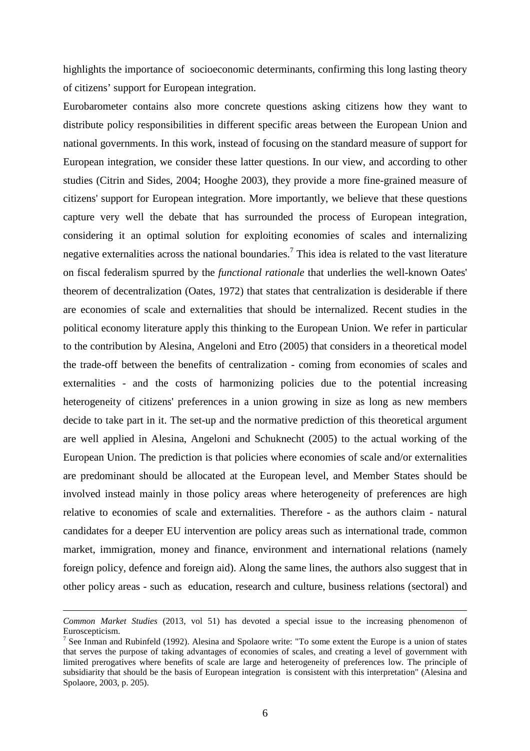highlights the importance of socioeconomic determinants, confirming this long lasting theory of citizens' support for European integration.

Eurobarometer contains also more concrete questions asking citizens how they want to distribute policy responsibilities in different specific areas between the European Union and national governments. In this work, instead of focusing on the standard measure of support for European integration, we consider these latter questions. In our view, and according to other studies (Citrin and Sides, 2004; Hooghe 2003), they provide a more fine-grained measure of citizens' support for European integration. More importantly, we believe that these questions capture very well the debate that has surrounded the process of European integration, considering it an optimal solution for exploiting economies of scales and internalizing negative externalities across the national boundaries.<sup>7</sup> This idea is related to the vast literature on fiscal federalism spurred by the *functional rationale* that underlies the well-known Oates' theorem of decentralization (Oates, 1972) that states that centralization is desiderable if there are economies of scale and externalities that should be internalized. Recent studies in the political economy literature apply this thinking to the European Union. We refer in particular to the contribution by Alesina, Angeloni and Etro (2005) that considers in a theoretical model the trade-off between the benefits of centralization - coming from economies of scales and externalities - and the costs of harmonizing policies due to the potential increasing heterogeneity of citizens' preferences in a union growing in size as long as new members decide to take part in it. The set-up and the normative prediction of this theoretical argument are well applied in Alesina, Angeloni and Schuknecht (2005) to the actual working of the European Union. The prediction is that policies where economies of scale and/or externalities are predominant should be allocated at the European level, and Member States should be involved instead mainly in those policy areas where heterogeneity of preferences are high relative to economies of scale and externalities. Therefore - as the authors claim - natural candidates for a deeper EU intervention are policy areas such as international trade, common market, immigration, money and finance, environment and international relations (namely foreign policy, defence and foreign aid). Along the same lines, the authors also suggest that in other policy areas - such as education, research and culture, business relations (sectoral) and

*Common Market Studies* (2013, vol 51) has devoted a special issue to the increasing phenomenon of Euroscepticism.

<sup>&</sup>lt;sup>7</sup> See Inman and Rubinfeld (1992). Alesina and Spolaore write: "To some extent the Europe is a union of states that serves the purpose of taking advantages of economies of scales, and creating a level of government with limited prerogatives where benefits of scale are large and heterogeneity of preferences low. The principle of subsidiarity that should be the basis of European integration is consistent with this interpretation" (Alesina and Spolaore, 2003, p. 205).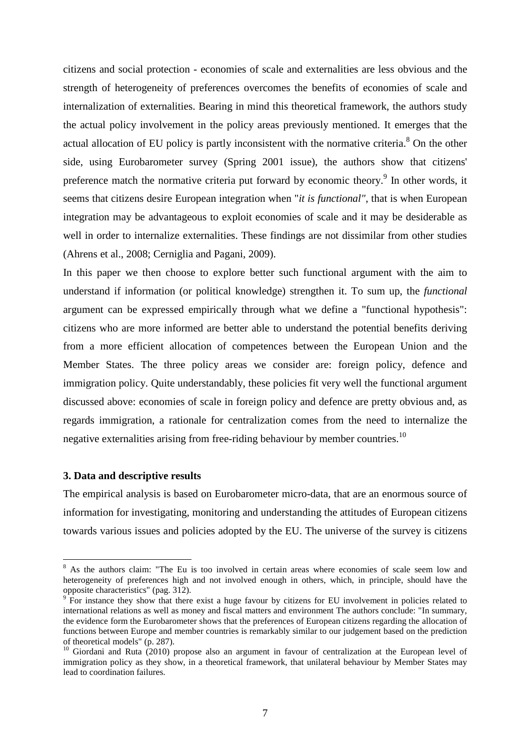citizens and social protection - economies of scale and externalities are less obvious and the strength of heterogeneity of preferences overcomes the benefits of economies of scale and internalization of externalities. Bearing in mind this theoretical framework, the authors study the actual policy involvement in the policy areas previously mentioned. It emerges that the actual allocation of EU policy is partly inconsistent with the normative criteria.<sup>8</sup> On the other side, using Eurobarometer survey (Spring 2001 issue), the authors show that citizens' preference match the normative criteria put forward by economic theory.<sup>9</sup> In other words, it seems that citizens desire European integration when "*it is functional"*, that is when European integration may be advantageous to exploit economies of scale and it may be desiderable as well in order to internalize externalities. These findings are not dissimilar from other studies (Ahrens et al., 2008; Cerniglia and Pagani, 2009).

In this paper we then choose to explore better such functional argument with the aim to understand if information (or political knowledge) strengthen it. To sum up, the *functional* argument can be expressed empirically through what we define a "functional hypothesis": citizens who are more informed are better able to understand the potential benefits deriving from a more efficient allocation of competences between the European Union and the Member States. The three policy areas we consider are: foreign policy, defence and immigration policy. Quite understandably, these policies fit very well the functional argument discussed above: economies of scale in foreign policy and defence are pretty obvious and, as regards immigration, a rationale for centralization comes from the need to internalize the negative externalities arising from free-riding behaviour by member countries.<sup>10</sup>

#### **3. Data and descriptive results**

The empirical analysis is based on Eurobarometer micro-data, that are an enormous source of information for investigating, monitoring and understanding the attitudes of European citizens towards various issues and policies adopted by the EU. The universe of the survey is citizens

<sup>&</sup>lt;sup>8</sup> As the authors claim: "The Eu is too involved in certain areas where economies of scale seem low and heterogeneity of preferences high and not involved enough in others, which, in principle, should have the opposite characteristics" (pag. 312).<br><sup>9</sup> For instance they show that there

For instance they show that there exist a huge favour by citizens for EU involvement in policies related to international relations as well as money and fiscal matters and environment The authors conclude: "In summary, the evidence form the Eurobarometer shows that the preferences of European citizens regarding the allocation of functions between Europe and member countries is remarkably similar to our judgement based on the prediction of theoretical models" (p. 287).

 $10$  Giordani and Ruta (2010) propose also an argument in favour of centralization at the European level of immigration policy as they show, in a theoretical framework, that unilateral behaviour by Member States may lead to coordination failures.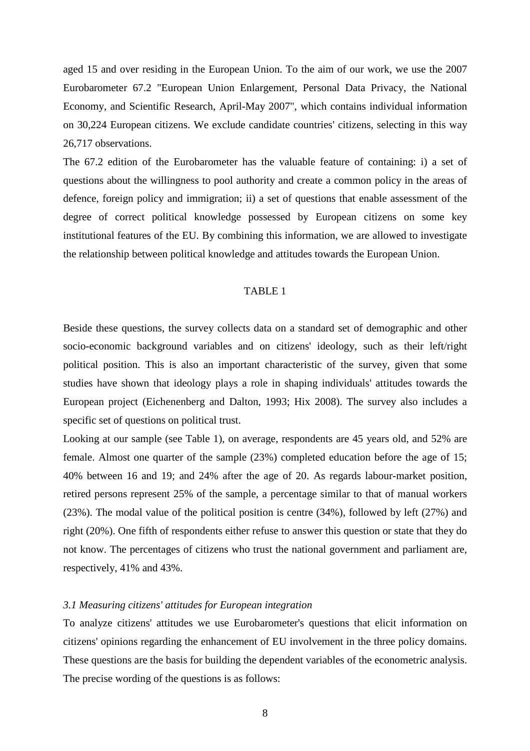aged 15 and over residing in the European Union. To the aim of our work, we use the 2007 Eurobarometer 67.2 "European Union Enlargement, Personal Data Privacy, the National Economy, and Scientific Research, April-May 2007", which contains individual information on 30,224 European citizens. We exclude candidate countries' citizens, selecting in this way 26,717 observations.

The 67.2 edition of the Eurobarometer has the valuable feature of containing: i) a set of questions about the willingness to pool authority and create a common policy in the areas of defence, foreign policy and immigration; ii) a set of questions that enable assessment of the degree of correct political knowledge possessed by European citizens on some key institutional features of the EU. By combining this information, we are allowed to investigate the relationship between political knowledge and attitudes towards the European Union.

#### TABLE 1

Beside these questions, the survey collects data on a standard set of demographic and other socio-economic background variables and on citizens' ideology, such as their left/right political position. This is also an important characteristic of the survey, given that some studies have shown that ideology plays a role in shaping individuals' attitudes towards the European project (Eichenenberg and Dalton, 1993; Hix 2008). The survey also includes a specific set of questions on political trust.

Looking at our sample (see Table 1), on average, respondents are 45 years old, and 52% are female. Almost one quarter of the sample (23%) completed education before the age of 15; 40% between 16 and 19; and 24% after the age of 20. As regards labour-market position, retired persons represent 25% of the sample, a percentage similar to that of manual workers (23%). The modal value of the political position is centre (34%), followed by left (27%) and right (20%). One fifth of respondents either refuse to answer this question or state that they do not know. The percentages of citizens who trust the national government and parliament are, respectively, 41% and 43%.

#### *3.1 Measuring citizens' attitudes for European integration*

To analyze citizens' attitudes we use Eurobarometer's questions that elicit information on citizens' opinions regarding the enhancement of EU involvement in the three policy domains. These questions are the basis for building the dependent variables of the econometric analysis. The precise wording of the questions is as follows: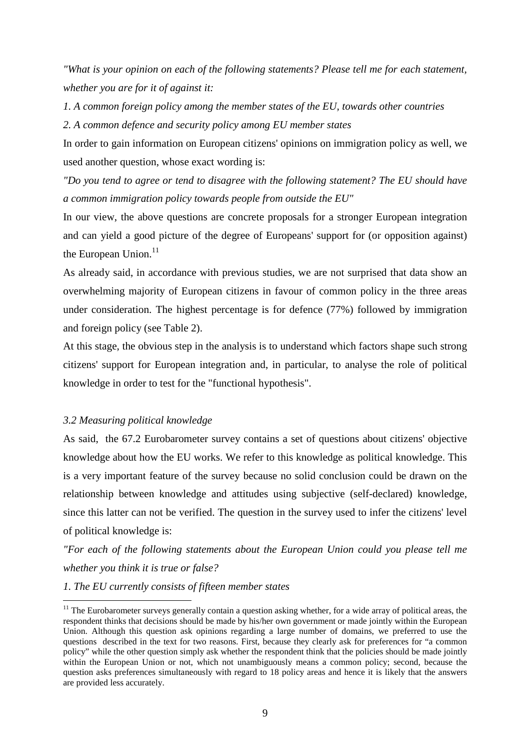*"What is your opinion on each of the following statements? Please tell me for each statement, whether you are for it of against it:* 

*1. A common foreign policy among the member states of the EU, towards other countries* 

*2. A common defence and security policy among EU member states* 

In order to gain information on European citizens' opinions on immigration policy as well, we used another question, whose exact wording is:

*"Do you tend to agree or tend to disagree with the following statement? The EU should have a common immigration policy towards people from outside the EU"* 

In our view, the above questions are concrete proposals for a stronger European integration and can yield a good picture of the degree of Europeans' support for (or opposition against) the European Union.<sup>11</sup>

As already said, in accordance with previous studies, we are not surprised that data show an overwhelming majority of European citizens in favour of common policy in the three areas under consideration. The highest percentage is for defence (77%) followed by immigration and foreign policy (see Table 2).

At this stage, the obvious step in the analysis is to understand which factors shape such strong citizens' support for European integration and, in particular, to analyse the role of political knowledge in order to test for the "functional hypothesis".

#### *3.2 Measuring political knowledge*

 $\overline{a}$ 

As said, the 67.2 Eurobarometer survey contains a set of questions about citizens' objective knowledge about how the EU works. We refer to this knowledge as political knowledge. This is a very important feature of the survey because no solid conclusion could be drawn on the relationship between knowledge and attitudes using subjective (self-declared) knowledge, since this latter can not be verified. The question in the survey used to infer the citizens' level of political knowledge is:

*"For each of the following statements about the European Union could you please tell me whether you think it is true or false?* 

#### *1. The EU currently consists of fifteen member states*

 $11$  The Eurobarometer surveys generally contain a question asking whether, for a wide array of political areas, the respondent thinks that decisions should be made by his/her own government or made jointly within the European Union. Although this question ask opinions regarding a large number of domains, we preferred to use the questions described in the text for two reasons. First, because they clearly ask for preferences for "a common policy" while the other question simply ask whether the respondent think that the policies should be made jointly within the European Union or not, which not unambiguously means a common policy; second, because the question asks preferences simultaneously with regard to 18 policy areas and hence it is likely that the answers are provided less accurately.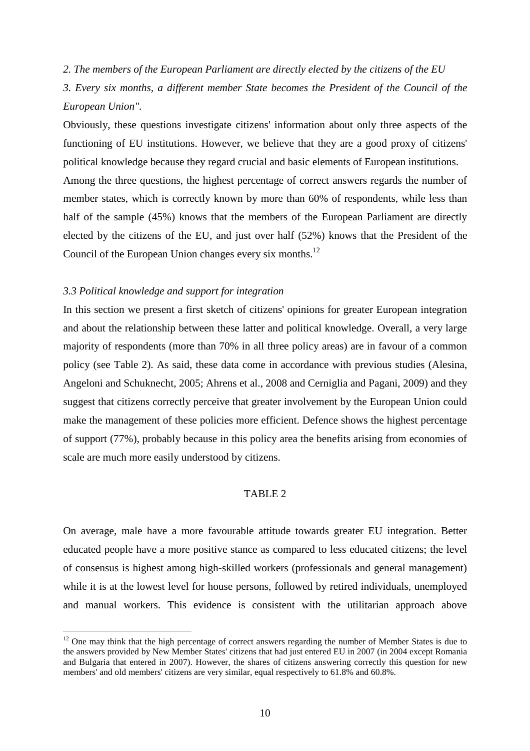## *2. The members of the European Parliament are directly elected by the citizens of the EU*

*3. Every six months, a different member State becomes the President of the Council of the European Union".* 

Obviously, these questions investigate citizens' information about only three aspects of the functioning of EU institutions. However, we believe that they are a good proxy of citizens' political knowledge because they regard crucial and basic elements of European institutions.

Among the three questions, the highest percentage of correct answers regards the number of member states, which is correctly known by more than 60% of respondents, while less than half of the sample (45%) knows that the members of the European Parliament are directly elected by the citizens of the EU, and just over half (52%) knows that the President of the Council of the European Union changes every six months.<sup>12</sup>

#### *3.3 Political knowledge and support for integration*

 $\overline{a}$ 

In this section we present a first sketch of citizens' opinions for greater European integration and about the relationship between these latter and political knowledge. Overall, a very large majority of respondents (more than 70% in all three policy areas) are in favour of a common policy (see Table 2). As said, these data come in accordance with previous studies (Alesina, Angeloni and Schuknecht, 2005; Ahrens et al., 2008 and Cerniglia and Pagani, 2009) and they suggest that citizens correctly perceive that greater involvement by the European Union could make the management of these policies more efficient. Defence shows the highest percentage of support (77%), probably because in this policy area the benefits arising from economies of scale are much more easily understood by citizens.

## TABLE 2

On average, male have a more favourable attitude towards greater EU integration. Better educated people have a more positive stance as compared to less educated citizens; the level of consensus is highest among high-skilled workers (professionals and general management) while it is at the lowest level for house persons, followed by retired individuals, unemployed and manual workers. This evidence is consistent with the utilitarian approach above

<sup>&</sup>lt;sup>12</sup> One may think that the high percentage of correct answers regarding the number of Member States is due to the answers provided by New Member States' citizens that had just entered EU in 2007 (in 2004 except Romania and Bulgaria that entered in 2007). However, the shares of citizens answering correctly this question for new members' and old members' citizens are very similar, equal respectively to 61.8% and 60.8%.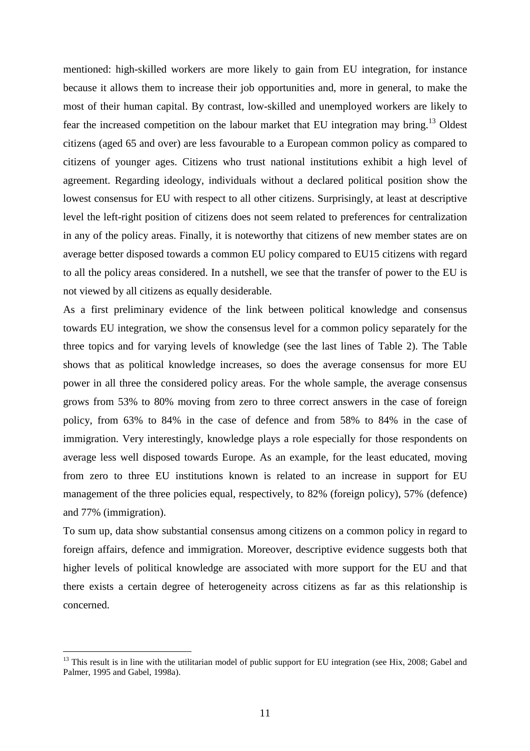mentioned: high-skilled workers are more likely to gain from EU integration, for instance because it allows them to increase their job opportunities and, more in general, to make the most of their human capital. By contrast, low-skilled and unemployed workers are likely to fear the increased competition on the labour market that EU integration may bring.<sup>13</sup> Oldest citizens (aged 65 and over) are less favourable to a European common policy as compared to citizens of younger ages. Citizens who trust national institutions exhibit a high level of agreement. Regarding ideology, individuals without a declared political position show the lowest consensus for EU with respect to all other citizens. Surprisingly, at least at descriptive level the left-right position of citizens does not seem related to preferences for centralization in any of the policy areas. Finally, it is noteworthy that citizens of new member states are on average better disposed towards a common EU policy compared to EU15 citizens with regard to all the policy areas considered. In a nutshell, we see that the transfer of power to the EU is not viewed by all citizens as equally desiderable.

As a first preliminary evidence of the link between political knowledge and consensus towards EU integration, we show the consensus level for a common policy separately for the three topics and for varying levels of knowledge (see the last lines of Table 2). The Table shows that as political knowledge increases, so does the average consensus for more EU power in all three the considered policy areas. For the whole sample, the average consensus grows from 53% to 80% moving from zero to three correct answers in the case of foreign policy, from 63% to 84% in the case of defence and from 58% to 84% in the case of immigration. Very interestingly, knowledge plays a role especially for those respondents on average less well disposed towards Europe. As an example, for the least educated, moving from zero to three EU institutions known is related to an increase in support for EU management of the three policies equal, respectively, to 82% (foreign policy), 57% (defence) and 77% (immigration).

To sum up, data show substantial consensus among citizens on a common policy in regard to foreign affairs, defence and immigration. Moreover, descriptive evidence suggests both that higher levels of political knowledge are associated with more support for the EU and that there exists a certain degree of heterogeneity across citizens as far as this relationship is concerned.

 $13$  This result is in line with the utilitarian model of public support for EU integration (see Hix, 2008; Gabel and Palmer, 1995 and Gabel, 1998a).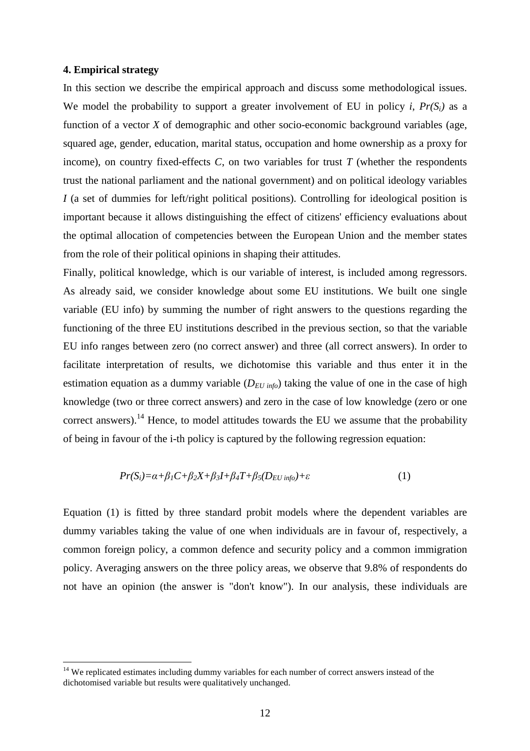#### **4. Empirical strategy**

 $\overline{a}$ 

In this section we describe the empirical approach and discuss some methodological issues. We model the probability to support a greater involvement of EU in policy *i*,  $Pr(S_i)$  as a function of a vector *X* of demographic and other socio-economic background variables (age, squared age, gender, education, marital status, occupation and home ownership as a proxy for income), on country fixed-effects  $C$ , on two variables for trust  $T$  (whether the respondents trust the national parliament and the national government) and on political ideology variables *I* (a set of dummies for left/right political positions). Controlling for ideological position is important because it allows distinguishing the effect of citizens' efficiency evaluations about the optimal allocation of competencies between the European Union and the member states from the role of their political opinions in shaping their attitudes.

Finally, political knowledge, which is our variable of interest, is included among regressors. As already said, we consider knowledge about some EU institutions. We built one single variable (EU info) by summing the number of right answers to the questions regarding the functioning of the three EU institutions described in the previous section, so that the variable EU info ranges between zero (no correct answer) and three (all correct answers). In order to facilitate interpretation of results, we dichotomise this variable and thus enter it in the estimation equation as a dummy variable (*DEU info*) taking the value of one in the case of high knowledge (two or three correct answers) and zero in the case of low knowledge (zero or one correct answers).<sup>14</sup> Hence, to model attitudes towards the EU we assume that the probability of being in favour of the i-th policy is captured by the following regression equation:

$$
Pr(S_i) = \alpha + \beta_1 C + \beta_2 X + \beta_3 I + \beta_4 T + \beta_5 (D_{EU\ inf_O}) + \varepsilon
$$
\n(1)

Equation (1) is fitted by three standard probit models where the dependent variables are dummy variables taking the value of one when individuals are in favour of, respectively, a common foreign policy, a common defence and security policy and a common immigration policy. Averaging answers on the three policy areas, we observe that 9.8% of respondents do not have an opinion (the answer is "don't know"). In our analysis, these individuals are

<sup>&</sup>lt;sup>14</sup> We replicated estimates including dummy variables for each number of correct answers instead of the dichotomised variable but results were qualitatively unchanged.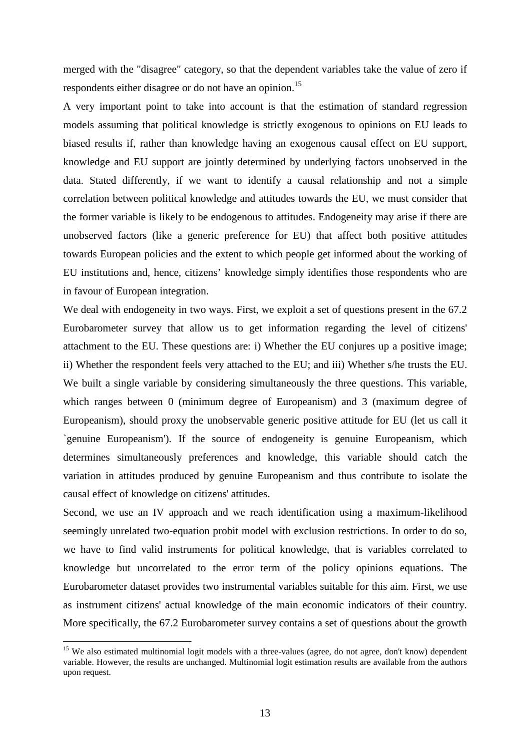merged with the "disagree" category, so that the dependent variables take the value of zero if respondents either disagree or do not have an opinion.<sup>15</sup>

A very important point to take into account is that the estimation of standard regression models assuming that political knowledge is strictly exogenous to opinions on EU leads to biased results if, rather than knowledge having an exogenous causal effect on EU support, knowledge and EU support are jointly determined by underlying factors unobserved in the data. Stated differently, if we want to identify a causal relationship and not a simple correlation between political knowledge and attitudes towards the EU, we must consider that the former variable is likely to be endogenous to attitudes. Endogeneity may arise if there are unobserved factors (like a generic preference for EU) that affect both positive attitudes towards European policies and the extent to which people get informed about the working of EU institutions and, hence, citizens' knowledge simply identifies those respondents who are in favour of European integration.

We deal with endogeneity in two ways. First, we exploit a set of questions present in the 67.2 Eurobarometer survey that allow us to get information regarding the level of citizens' attachment to the EU. These questions are: i) Whether the EU conjures up a positive image; ii) Whether the respondent feels very attached to the EU; and iii) Whether s/he trusts the EU. We built a single variable by considering simultaneously the three questions. This variable, which ranges between 0 (minimum degree of Europeanism) and 3 (maximum degree of Europeanism), should proxy the unobservable generic positive attitude for EU (let us call it `genuine Europeanism'). If the source of endogeneity is genuine Europeanism, which determines simultaneously preferences and knowledge, this variable should catch the variation in attitudes produced by genuine Europeanism and thus contribute to isolate the causal effect of knowledge on citizens' attitudes.

Second, we use an IV approach and we reach identification using a maximum-likelihood seemingly unrelated two-equation probit model with exclusion restrictions. In order to do so, we have to find valid instruments for political knowledge, that is variables correlated to knowledge but uncorrelated to the error term of the policy opinions equations. The Eurobarometer dataset provides two instrumental variables suitable for this aim. First, we use as instrument citizens' actual knowledge of the main economic indicators of their country. More specifically, the 67.2 Eurobarometer survey contains a set of questions about the growth

<sup>&</sup>lt;sup>15</sup> We also estimated multinomial logit models with a three-values (agree, do not agree, don't know) dependent variable. However, the results are unchanged. Multinomial logit estimation results are available from the authors upon request.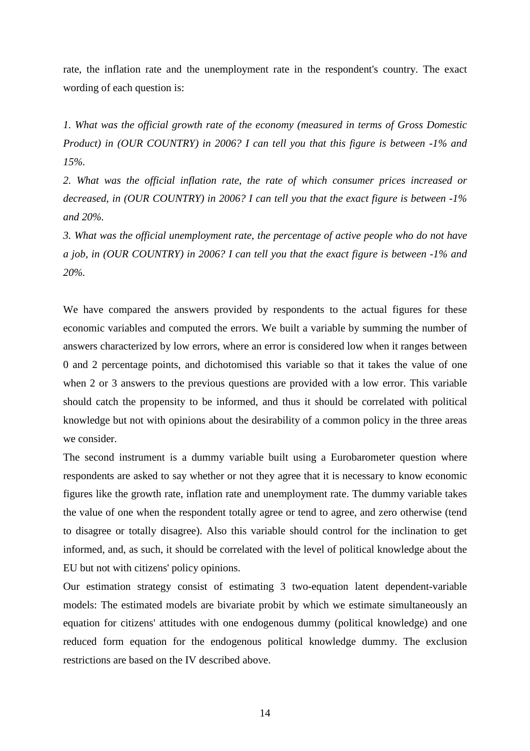rate, the inflation rate and the unemployment rate in the respondent's country. The exact wording of each question is:

*1. What was the official growth rate of the economy (measured in terms of Gross Domestic Product) in (OUR COUNTRY) in 2006? I can tell you that this figure is between -1% and 15%.* 

*2. What was the official inflation rate, the rate of which consumer prices increased or decreased, in (OUR COUNTRY) in 2006? I can tell you that the exact figure is between -1% and 20%.* 

*3. What was the official unemployment rate, the percentage of active people who do not have a job, in (OUR COUNTRY) in 2006? I can tell you that the exact figure is between -1% and 20%.* 

We have compared the answers provided by respondents to the actual figures for these economic variables and computed the errors. We built a variable by summing the number of answers characterized by low errors, where an error is considered low when it ranges between 0 and 2 percentage points, and dichotomised this variable so that it takes the value of one when 2 or 3 answers to the previous questions are provided with a low error. This variable should catch the propensity to be informed, and thus it should be correlated with political knowledge but not with opinions about the desirability of a common policy in the three areas we consider.

The second instrument is a dummy variable built using a Eurobarometer question where respondents are asked to say whether or not they agree that it is necessary to know economic figures like the growth rate, inflation rate and unemployment rate. The dummy variable takes the value of one when the respondent totally agree or tend to agree, and zero otherwise (tend to disagree or totally disagree). Also this variable should control for the inclination to get informed, and, as such, it should be correlated with the level of political knowledge about the EU but not with citizens' policy opinions.

Our estimation strategy consist of estimating 3 two-equation latent dependent-variable models: The estimated models are bivariate probit by which we estimate simultaneously an equation for citizens' attitudes with one endogenous dummy (political knowledge) and one reduced form equation for the endogenous political knowledge dummy. The exclusion restrictions are based on the IV described above.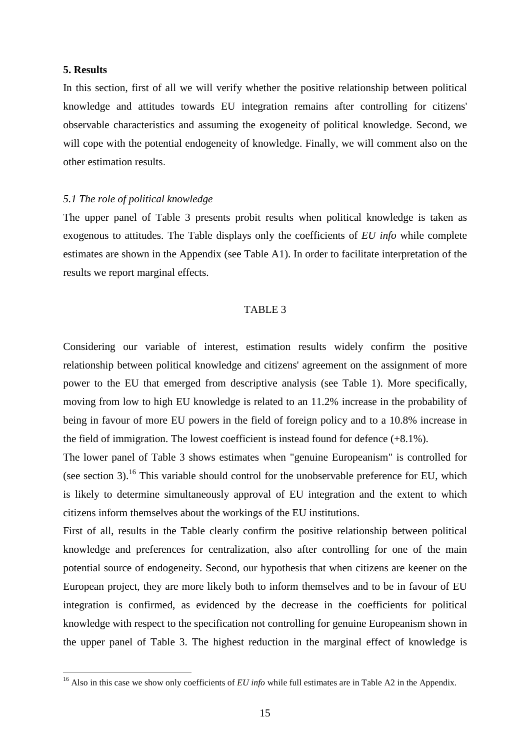#### **5. Results**

 $\overline{a}$ 

In this section, first of all we will verify whether the positive relationship between political knowledge and attitudes towards EU integration remains after controlling for citizens' observable characteristics and assuming the exogeneity of political knowledge. Second, we will cope with the potential endogeneity of knowledge. Finally, we will comment also on the other estimation results.

#### *5.1 The role of political knowledge*

The upper panel of Table 3 presents probit results when political knowledge is taken as exogenous to attitudes. The Table displays only the coefficients of *EU info* while complete estimates are shown in the Appendix (see Table A1). In order to facilitate interpretation of the results we report marginal effects.

#### TABLE 3

Considering our variable of interest, estimation results widely confirm the positive relationship between political knowledge and citizens' agreement on the assignment of more power to the EU that emerged from descriptive analysis (see Table 1). More specifically, moving from low to high EU knowledge is related to an 11.2% increase in the probability of being in favour of more EU powers in the field of foreign policy and to a 10.8% increase in the field of immigration. The lowest coefficient is instead found for defence (+8.1%).

The lower panel of Table 3 shows estimates when "genuine Europeanism" is controlled for (see section 3).<sup>16</sup> This variable should control for the unobservable preference for EU, which is likely to determine simultaneously approval of EU integration and the extent to which citizens inform themselves about the workings of the EU institutions.

First of all, results in the Table clearly confirm the positive relationship between political knowledge and preferences for centralization, also after controlling for one of the main potential source of endogeneity. Second, our hypothesis that when citizens are keener on the European project, they are more likely both to inform themselves and to be in favour of EU integration is confirmed, as evidenced by the decrease in the coefficients for political knowledge with respect to the specification not controlling for genuine Europeanism shown in the upper panel of Table 3. The highest reduction in the marginal effect of knowledge is

<sup>&</sup>lt;sup>16</sup> Also in this case we show only coefficients of *EU info* while full estimates are in Table A2 in the Appendix.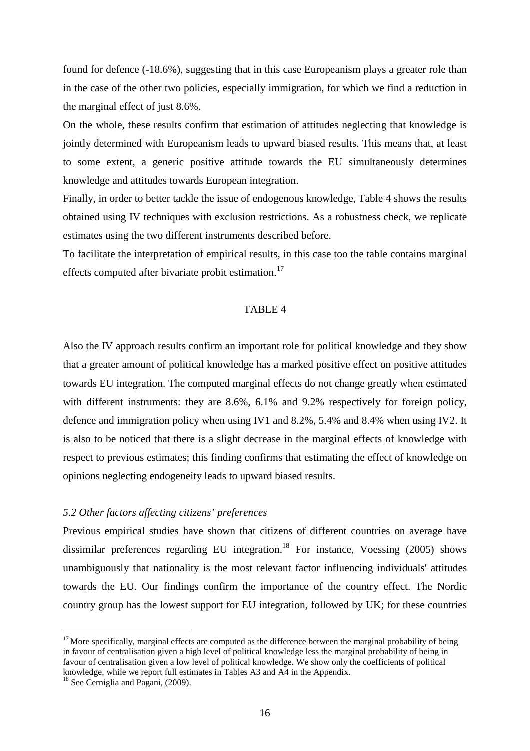found for defence (-18.6%), suggesting that in this case Europeanism plays a greater role than in the case of the other two policies, especially immigration, for which we find a reduction in the marginal effect of just 8.6%.

On the whole, these results confirm that estimation of attitudes neglecting that knowledge is jointly determined with Europeanism leads to upward biased results. This means that, at least to some extent, a generic positive attitude towards the EU simultaneously determines knowledge and attitudes towards European integration.

Finally, in order to better tackle the issue of endogenous knowledge, Table 4 shows the results obtained using IV techniques with exclusion restrictions. As a robustness check, we replicate estimates using the two different instruments described before.

To facilitate the interpretation of empirical results, in this case too the table contains marginal effects computed after bivariate probit estimation.<sup>17</sup>

#### TABLE 4

Also the IV approach results confirm an important role for political knowledge and they show that a greater amount of political knowledge has a marked positive effect on positive attitudes towards EU integration. The computed marginal effects do not change greatly when estimated with different instruments: they are 8.6%, 6.1% and 9.2% respectively for foreign policy, defence and immigration policy when using IV1 and 8.2%, 5.4% and 8.4% when using IV2. It is also to be noticed that there is a slight decrease in the marginal effects of knowledge with respect to previous estimates; this finding confirms that estimating the effect of knowledge on opinions neglecting endogeneity leads to upward biased results.

#### *5.2 Other factors affecting citizens' preferences*

Previous empirical studies have shown that citizens of different countries on average have dissimilar preferences regarding EU integration.<sup>18</sup> For instance, Voessing  $(2005)$  shows unambiguously that nationality is the most relevant factor influencing individuals' attitudes towards the EU. Our findings confirm the importance of the country effect. The Nordic country group has the lowest support for EU integration, followed by UK; for these countries

 $17$  More specifically, marginal effects are computed as the difference between the marginal probability of being in favour of centralisation given a high level of political knowledge less the marginal probability of being in favour of centralisation given a low level of political knowledge. We show only the coefficients of political knowledge, while we report full estimates in Tables A3 and A4 in the Appendix.

<sup>&</sup>lt;sup>18</sup> See Cerniglia and Pagani, (2009).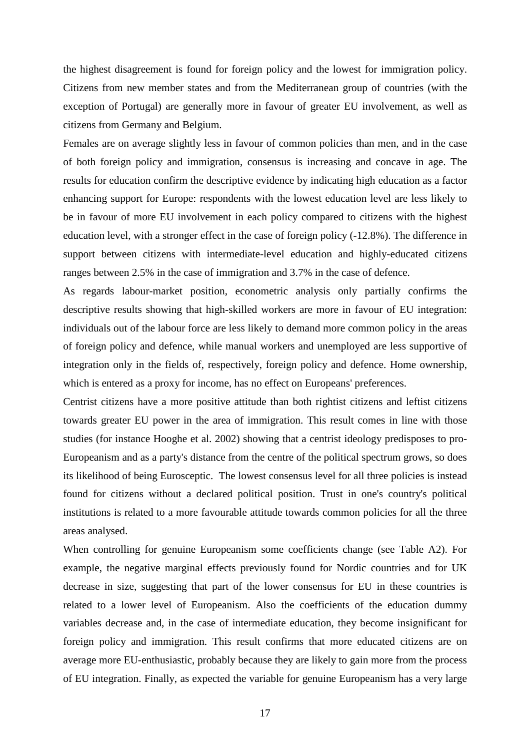the highest disagreement is found for foreign policy and the lowest for immigration policy. Citizens from new member states and from the Mediterranean group of countries (with the exception of Portugal) are generally more in favour of greater EU involvement, as well as citizens from Germany and Belgium.

Females are on average slightly less in favour of common policies than men, and in the case of both foreign policy and immigration, consensus is increasing and concave in age. The results for education confirm the descriptive evidence by indicating high education as a factor enhancing support for Europe: respondents with the lowest education level are less likely to be in favour of more EU involvement in each policy compared to citizens with the highest education level, with a stronger effect in the case of foreign policy (-12.8%). The difference in support between citizens with intermediate-level education and highly-educated citizens ranges between 2.5% in the case of immigration and 3.7% in the case of defence.

As regards labour-market position, econometric analysis only partially confirms the descriptive results showing that high-skilled workers are more in favour of EU integration: individuals out of the labour force are less likely to demand more common policy in the areas of foreign policy and defence, while manual workers and unemployed are less supportive of integration only in the fields of, respectively, foreign policy and defence. Home ownership, which is entered as a proxy for income, has no effect on Europeans' preferences.

Centrist citizens have a more positive attitude than both rightist citizens and leftist citizens towards greater EU power in the area of immigration. This result comes in line with those studies (for instance Hooghe et al. 2002) showing that a centrist ideology predisposes to pro-Europeanism and as a party's distance from the centre of the political spectrum grows, so does its likelihood of being Eurosceptic. The lowest consensus level for all three policies is instead found for citizens without a declared political position. Trust in one's country's political institutions is related to a more favourable attitude towards common policies for all the three areas analysed.

When controlling for genuine Europeanism some coefficients change (see Table A2). For example, the negative marginal effects previously found for Nordic countries and for UK decrease in size, suggesting that part of the lower consensus for EU in these countries is related to a lower level of Europeanism. Also the coefficients of the education dummy variables decrease and, in the case of intermediate education, they become insignificant for foreign policy and immigration. This result confirms that more educated citizens are on average more EU-enthusiastic, probably because they are likely to gain more from the process of EU integration. Finally, as expected the variable for genuine Europeanism has a very large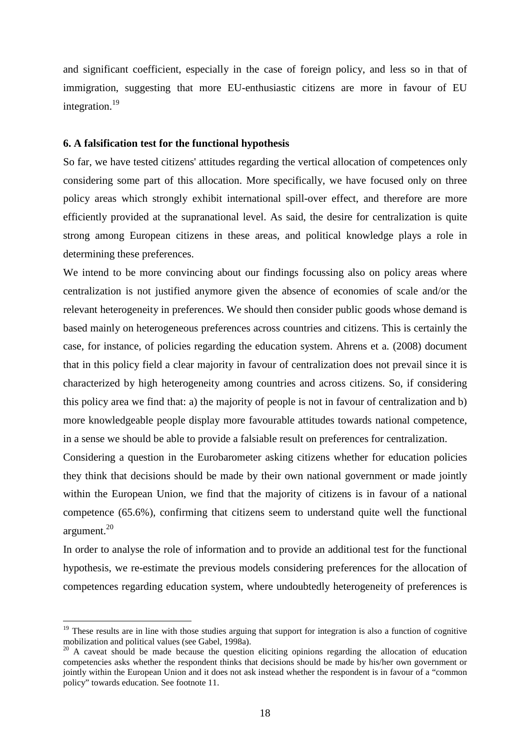and significant coefficient, especially in the case of foreign policy, and less so in that of immigration, suggesting that more EU-enthusiastic citizens are more in favour of EU integration.<sup>19</sup>

#### **6. A falsification test for the functional hypothesis**

So far, we have tested citizens' attitudes regarding the vertical allocation of competences only considering some part of this allocation. More specifically, we have focused only on three policy areas which strongly exhibit international spill-over effect, and therefore are more efficiently provided at the supranational level. As said, the desire for centralization is quite strong among European citizens in these areas, and political knowledge plays a role in determining these preferences.

We intend to be more convincing about our findings focussing also on policy areas where centralization is not justified anymore given the absence of economies of scale and/or the relevant heterogeneity in preferences. We should then consider public goods whose demand is based mainly on heterogeneous preferences across countries and citizens. This is certainly the case, for instance, of policies regarding the education system. Ahrens et a. (2008) document that in this policy field a clear majority in favour of centralization does not prevail since it is characterized by high heterogeneity among countries and across citizens. So, if considering this policy area we find that: a) the majority of people is not in favour of centralization and b) more knowledgeable people display more favourable attitudes towards national competence, in a sense we should be able to provide a falsiable result on preferences for centralization.

Considering a question in the Eurobarometer asking citizens whether for education policies they think that decisions should be made by their own national government or made jointly within the European Union, we find that the majority of citizens is in favour of a national competence (65.6%), confirming that citizens seem to understand quite well the functional argument.<sup>20</sup>

In order to analyse the role of information and to provide an additional test for the functional hypothesis, we re-estimate the previous models considering preferences for the allocation of competences regarding education system, where undoubtedly heterogeneity of preferences is

 $19$  These results are in line with those studies arguing that support for integration is also a function of cognitive mobilization and political values (see Gabel, 1998a).

 $20$  A caveat should be made because the question eliciting opinions regarding the allocation of education competencies asks whether the respondent thinks that decisions should be made by his/her own government or jointly within the European Union and it does not ask instead whether the respondent is in favour of a "common policy" towards education. See footnote 11.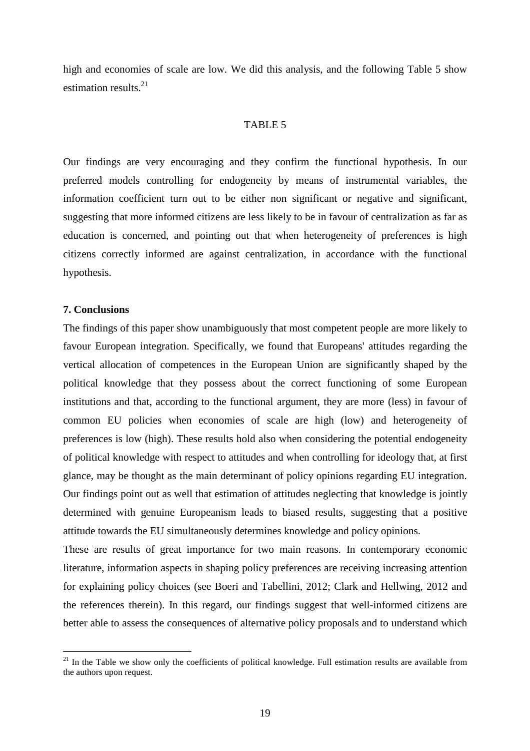high and economies of scale are low. We did this analysis, and the following Table 5 show estimation results.<sup>21</sup>

#### TABLE 5

Our findings are very encouraging and they confirm the functional hypothesis. In our preferred models controlling for endogeneity by means of instrumental variables, the information coefficient turn out to be either non significant or negative and significant, suggesting that more informed citizens are less likely to be in favour of centralization as far as education is concerned, and pointing out that when heterogeneity of preferences is high citizens correctly informed are against centralization, in accordance with the functional hypothesis.

## **7. Conclusions**

 $\overline{a}$ 

The findings of this paper show unambiguously that most competent people are more likely to favour European integration. Specifically, we found that Europeans' attitudes regarding the vertical allocation of competences in the European Union are significantly shaped by the political knowledge that they possess about the correct functioning of some European institutions and that, according to the functional argument, they are more (less) in favour of common EU policies when economies of scale are high (low) and heterogeneity of preferences is low (high). These results hold also when considering the potential endogeneity of political knowledge with respect to attitudes and when controlling for ideology that, at first glance, may be thought as the main determinant of policy opinions regarding EU integration. Our findings point out as well that estimation of attitudes neglecting that knowledge is jointly determined with genuine Europeanism leads to biased results, suggesting that a positive attitude towards the EU simultaneously determines knowledge and policy opinions.

These are results of great importance for two main reasons. In contemporary economic literature, information aspects in shaping policy preferences are receiving increasing attention for explaining policy choices (see Boeri and Tabellini, 2012; Clark and Hellwing, 2012 and the references therein). In this regard, our findings suggest that well-informed citizens are better able to assess the consequences of alternative policy proposals and to understand which

 $21$  In the Table we show only the coefficients of political knowledge. Full estimation results are available from the authors upon request.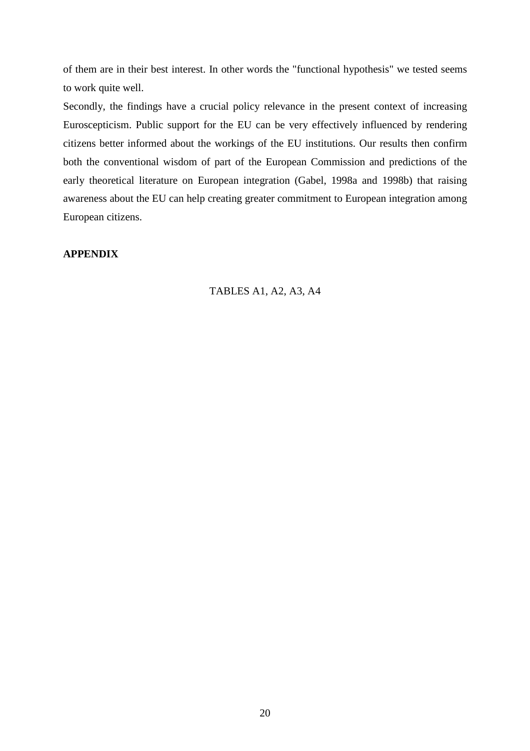of them are in their best interest. In other words the "functional hypothesis" we tested seems to work quite well.

Secondly, the findings have a crucial policy relevance in the present context of increasing Euroscepticism. Public support for the EU can be very effectively influenced by rendering citizens better informed about the workings of the EU institutions. Our results then confirm both the conventional wisdom of part of the European Commission and predictions of the early theoretical literature on European integration (Gabel, 1998a and 1998b) that raising awareness about the EU can help creating greater commitment to European integration among European citizens.

# **APPENDIX**

## TABLES A1, A2, A3, A4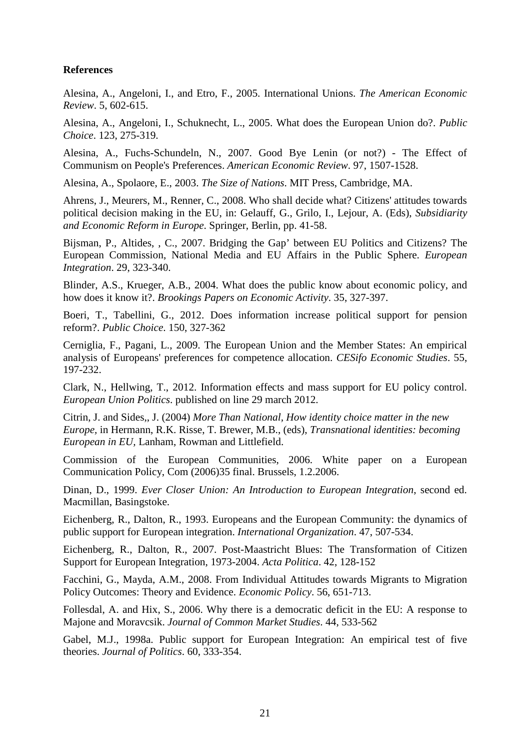# **References**

Alesina, A., Angeloni, I., and Etro, F., 2005. International Unions. *The American Economic Review*. 5, 602-615.

Alesina, A., Angeloni, I., Schuknecht, L., 2005. What does the European Union do?. *Public Choice*. 123, 275-319.

Alesina, A., Fuchs-Schundeln, N., 2007. Good Bye Lenin (or not?) - The Effect of Communism on People's Preferences. *American Economic Review*. 97, 1507-1528.

Alesina, A., Spolaore, E., 2003. *The Size of Nations*. MIT Press, Cambridge, MA.

Ahrens, J., Meurers, M., Renner, C., 2008. Who shall decide what? Citizens' attitudes towards political decision making in the EU, in: Gelauff, G., Grilo, I., Lejour, A. (Eds), *Subsidiarity and Economic Reform in Europe*. Springer, Berlin, pp. 41-58.

Bijsman, P., Altides, , C., 2007. Bridging the Gap' between EU Politics and Citizens? The European Commission, National Media and EU Affairs in the Public Sphere. *European Integration*. 29, 323-340.

Blinder, A.S., Krueger, A.B., 2004. What does the public know about economic policy, and how does it know it?. *Brookings Papers on Economic Activity*. 35, 327-397.

Boeri, T., Tabellini, G., 2012. Does information increase political support for pension reform?. *Public Choice*. 150, 327-362

Cerniglia, F., Pagani, L., 2009. The European Union and the Member States: An empirical analysis of Europeans' preferences for competence allocation. *CESifo Economic Studies*. 55, 197-232.

Clark, N., Hellwing, T., 2012. Information effects and mass support for EU policy control. *European Union Politics*. published on line 29 march 2012.

Citrin, J. and Sides,, J. (2004) *More Than National, How identity choice matter in the new Europe,* in Hermann, R.K. Risse, T. Brewer, M.B., (eds), *Transnational identities: becoming European in EU,* Lanham, Rowman and Littlefield.

Commission of the European Communities, 2006. White paper on a European Communication Policy, Com (2006)35 final. Brussels, 1.2.2006.

Dinan, D., 1999. *Ever Closer Union: An Introduction to European Integration*, second ed. Macmillan, Basingstoke.

Eichenberg, R., Dalton, R., 1993. Europeans and the European Community: the dynamics of public support for European integration. *International Organization*. 47, 507-534.

Eichenberg, R., Dalton, R., 2007. Post-Maastricht Blues: The Transformation of Citizen Support for European Integration, 1973-2004. *Acta Politica*. 42, 128-152

Facchini, G., Mayda, A.M., 2008. From Individual Attitudes towards Migrants to Migration Policy Outcomes: Theory and Evidence. *Economic Policy*. 56, 651-713.

Follesdal, A. and Hix, S., 2006. Why there is a democratic deficit in the EU: A response to Majone and Moravcsik. *Journal of Common Market Studies*. 44, 533-562

Gabel, M.J., 1998a. Public support for European Integration: An empirical test of five theories. *Journal of Politics*. 60, 333-354.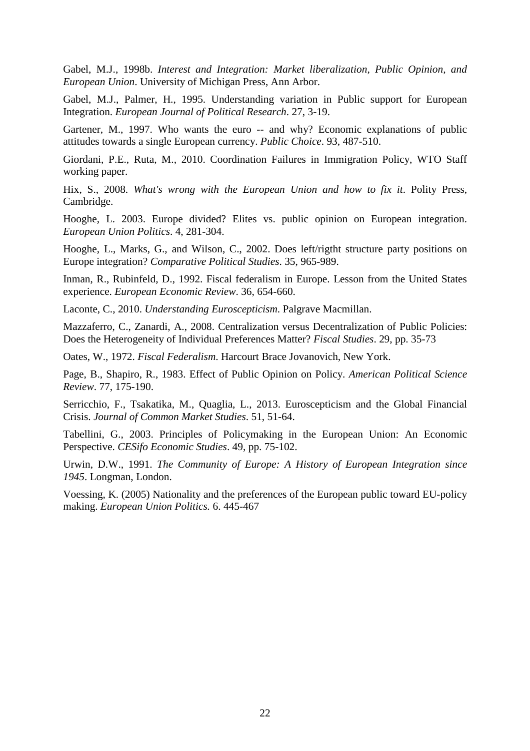Gabel, M.J., 1998b. *Interest and Integration: Market liberalization, Public Opinion, and European Union*. University of Michigan Press, Ann Arbor.

Gabel, M.J., Palmer, H., 1995. Understanding variation in Public support for European Integration. *European Journal of Political Research*. 27, 3-19.

Gartener, M., 1997. Who wants the euro -- and why? Economic explanations of public attitudes towards a single European currency. *Public Choice*. 93, 487-510.

Giordani, P.E., Ruta, M., 2010. Coordination Failures in Immigration Policy, WTO Staff working paper.

Hix, S., 2008. *What's wrong with the European Union and how to fix it*. Polity Press, Cambridge.

Hooghe, L. 2003. Europe divided? Elites vs. public opinion on European integration. *European Union Politics*. 4, 281-304.

Hooghe, L., Marks, G., and Wilson, C., 2002. Does left/rigtht structure party positions on Europe integration? *Comparative Political Studies*. 35, 965-989.

Inman, R., Rubinfeld, D., 1992. Fiscal federalism in Europe. Lesson from the United States experience. *European Economic Review*. 36, 654-660.

Laconte, C., 2010. *Understanding Euroscepticism*. Palgrave Macmillan.

Mazzaferro, C., Zanardi, A., 2008. Centralization versus Decentralization of Public Policies: Does the Heterogeneity of Individual Preferences Matter? *Fiscal Studies*. 29, pp. 35-73

Oates, W., 1972. *Fiscal Federalism*. Harcourt Brace Jovanovich, New York.

Page, B., Shapiro, R., 1983. Effect of Public Opinion on Policy. *American Political Science Review*. 77, 175-190.

Serricchio, F., Tsakatika, M., Quaglia, L., 2013. Euroscepticism and the Global Financial Crisis. *Journal of Common Market Studies*. 51, 51-64.

Tabellini, G., 2003. Principles of Policymaking in the European Union: An Economic Perspective. *CESifo Economic Studies*. 49, pp. 75-102.

Urwin, D.W., 1991. *The Community of Europe: A History of European Integration since 1945*. Longman, London.

Voessing, K. (2005) Nationality and the preferences of the European public toward EU-policy making. *European Union Politics.* 6. 445-467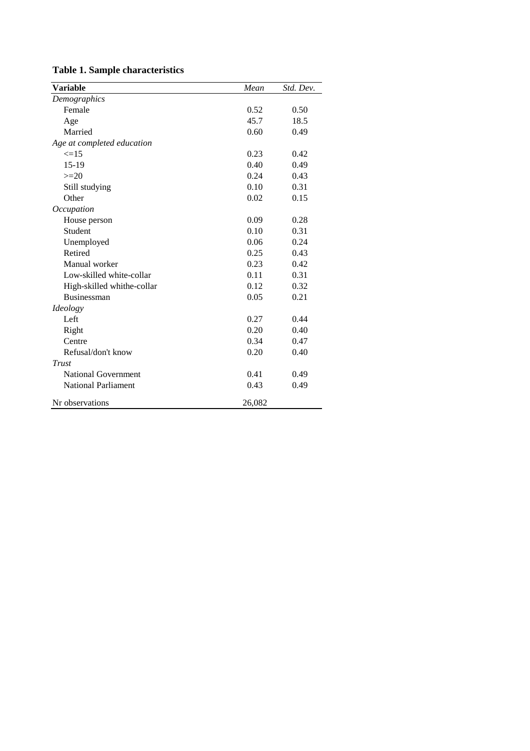|  |  | <b>Table 1. Sample characteristics</b> |  |
|--|--|----------------------------------------|--|
|--|--|----------------------------------------|--|

| <b>Variable</b>            | Mean   | Std. Dev. |
|----------------------------|--------|-----------|
| Demographics               |        |           |
| Female                     | 0.52   | 0.50      |
| Age                        | 45.7   | 18.5      |
| Married                    | 0.60   | 0.49      |
| Age at completed education |        |           |
| $\leq$ =15                 | 0.23   | 0.42      |
| $15-19$                    | 0.40   | 0.49      |
| $>=20$                     | 0.24   | 0.43      |
| Still studying             | 0.10   | 0.31      |
| Other                      | 0.02   | 0.15      |
| Occupation                 |        |           |
| House person               | 0.09   | 0.28      |
| <b>Student</b>             | 0.10   | 0.31      |
| Unemployed                 | 0.06   | 0.24      |
| Retired                    | 0.25   | 0.43      |
| Manual worker              | 0.23   | 0.42      |
| Low-skilled white-collar   | 0.11   | 0.31      |
| High-skilled whithe-collar | 0.12   | 0.32      |
| Businessman                | 0.05   | 0.21      |
| Ideology                   |        |           |
| Left                       | 0.27   | 0.44      |
| Right                      | 0.20   | 0.40      |
| Centre                     | 0.34   | 0.47      |
| Refusal/don't know         | 0.20   | 0.40      |
| Trust                      |        |           |
| <b>National Government</b> | 0.41   | 0.49      |
| <b>National Parliament</b> | 0.43   | 0.49      |
| Nr observations            | 26,082 |           |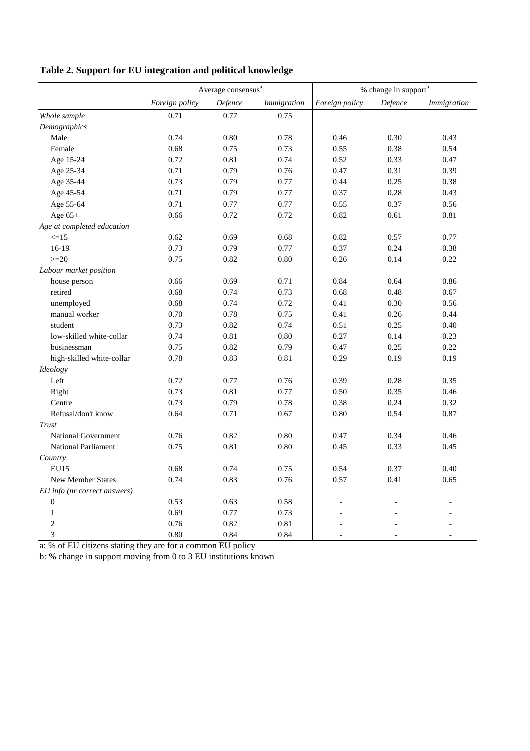|                              | Average consensus $a$ |         |             | $\%$ change in support $^{\rm b}$ |         |             |
|------------------------------|-----------------------|---------|-------------|-----------------------------------|---------|-------------|
|                              | Foreign policy        | Defence | Immigration | Foreign policy                    | Defence | Immigration |
| Whole sample                 | 0.71                  | 0.77    | 0.75        |                                   |         |             |
| Demographics                 |                       |         |             |                                   |         |             |
| Male                         | 0.74                  | 0.80    | 0.78        | 0.46                              | 0.30    | 0.43        |
| Female                       | 0.68                  | 0.75    | 0.73        | 0.55                              | 0.38    | 0.54        |
| Age 15-24                    | 0.72                  | 0.81    | 0.74        | 0.52                              | 0.33    | 0.47        |
| Age 25-34                    | 0.71                  | 0.79    | 0.76        | 0.47                              | 0.31    | 0.39        |
| Age 35-44                    | 0.73                  | 0.79    | 0.77        | 0.44                              | 0.25    | 0.38        |
| Age 45-54                    | 0.71                  | 0.79    | 0.77        | 0.37                              | 0.28    | 0.43        |
| Age 55-64                    | 0.71                  | 0.77    | 0.77        | 0.55                              | 0.37    | 0.56        |
| Age $65+$                    | 0.66                  | 0.72    | 0.72        | 0.82                              | 0.61    | 0.81        |
| Age at completed education   |                       |         |             |                                   |         |             |
| $\leq$ =15                   | 0.62                  | 0.69    | 0.68        | 0.82                              | 0.57    | 0.77        |
| $16-19$                      | 0.73                  | 0.79    | 0.77        | 0.37                              | 0.24    | 0.38        |
| $>=20$                       | 0.75                  | 0.82    | 0.80        | 0.26                              | 0.14    | 0.22        |
| Labour market position       |                       |         |             |                                   |         |             |
| house person                 | 0.66                  | 0.69    | 0.71        | 0.84                              | 0.64    | 0.86        |
| retired                      | 0.68                  | 0.74    | 0.73        | 0.68                              | 0.48    | 0.67        |
| unemployed                   | 0.68                  | 0.74    | 0.72        | 0.41                              | 0.30    | 0.56        |
| manual worker                | 0.70                  | 0.78    | 0.75        | 0.41                              | 0.26    | 0.44        |
| student                      | 0.73                  | 0.82    | 0.74        | 0.51                              | 0.25    | 0.40        |
| low-skilled white-collar     | 0.74                  | 0.81    | 0.80        | 0.27                              | 0.14    | 0.23        |
| businessman                  | 0.75                  | 0.82    | 0.79        | 0.47                              | 0.25    | 0.22        |
| high-skilled white-collar    | 0.78                  | 0.83    | 0.81        | 0.29                              | 0.19    | 0.19        |
| Ideology                     |                       |         |             |                                   |         |             |
| Left                         | 0.72                  | 0.77    | 0.76        | 0.39                              | 0.28    | 0.35        |
| Right                        | 0.73                  | 0.81    | 0.77        | 0.50                              | 0.35    | 0.46        |
| Centre                       | 0.73                  | 0.79    | 0.78        | 0.38                              | 0.24    | 0.32        |
| Refusal/don't know           | 0.64                  | 0.71    | 0.67        | 0.80                              | 0.54    | 0.87        |
| Trust                        |                       |         |             |                                   |         |             |
| <b>National Government</b>   | 0.76                  | 0.82    | 0.80        | 0.47                              | 0.34    | 0.46        |
| <b>National Parliament</b>   | 0.75                  | 0.81    | 0.80        | 0.45                              | 0.33    | 0.45        |
| Country                      |                       |         |             |                                   |         |             |
| <b>EU15</b>                  | 0.68                  | 0.74    | 0.75        | 0.54                              | 0.37    | 0.40        |
| <b>New Member States</b>     | 0.74                  | 0.83    | 0.76        | 0.57                              | 0.41    | 0.65        |
| EU info (nr correct answers) |                       |         |             |                                   |         |             |
| $\mathbf{0}$                 | 0.53                  | 0.63    | 0.58        |                                   |         |             |
| $\mathbf{1}$                 | 0.69                  | 0.77    | 0.73        |                                   |         |             |
| $\overline{2}$               | 0.76                  | 0.82    | 0.81        |                                   |         |             |
| 3                            | 0.80                  | 0.84    | 0.84        |                                   |         |             |

**Table 2. Support for EU integration and political knowledge**

a: % of EU citizens stating they are for a common EU policy

b: % change in support moving from 0 to 3 EU institutions known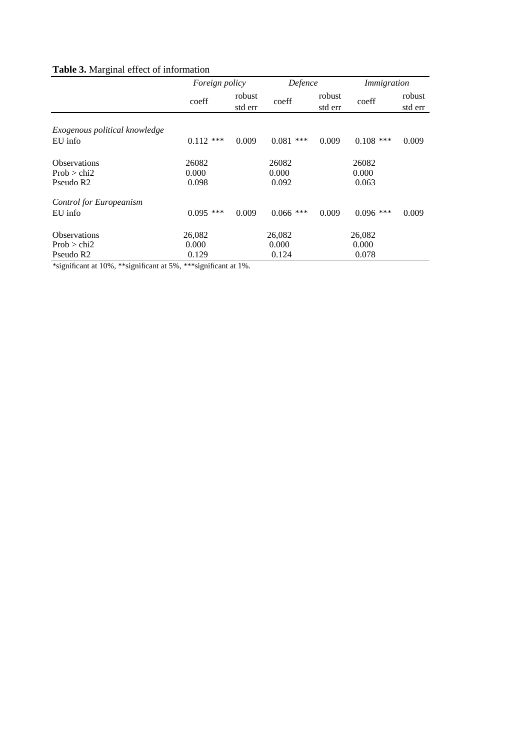# **Table 3.** Marginal effect of information

|                                | Foreign policy |                   | Defence      |                   | Immigration |                   |
|--------------------------------|----------------|-------------------|--------------|-------------------|-------------|-------------------|
|                                | coeff          | robust<br>std err | coeff        | robust<br>std err | coeff       | robust<br>std err |
|                                |                |                   |              |                   |             |                   |
| Exogenous political knowledge  |                |                   |              |                   |             |                   |
| EU info                        | $0.112$ ***    | 0.009             | 0.081<br>*** | 0.009             | $0.108$ *** | 0.009             |
| <b>Observations</b>            | 26082          |                   | 26082        |                   | 26082       |                   |
| Prob > chi2                    | 0.000          |                   | 0.000        |                   | 0.000       |                   |
| Pseudo R <sub>2</sub>          | 0.098          |                   | 0.092        |                   | 0.063       |                   |
| <b>Control for Europeanism</b> |                |                   |              |                   |             |                   |
| EU info                        | $0.095$ ***    | 0.009             | $0.066$ ***  | 0.009             | $0.096$ *** | 0.009             |
| <b>Observations</b>            | 26,082         |                   | 26,082       |                   | 26,082      |                   |
| Prob > chi2                    | 0.000          |                   | 0.000        |                   | 0.000       |                   |
| Pseudo R <sub>2</sub>          | 0.129          |                   | 0.124        |                   | 0.078       |                   |

\*significant at 10%, \*\*significant at 5%, \*\*\*significant at 1%.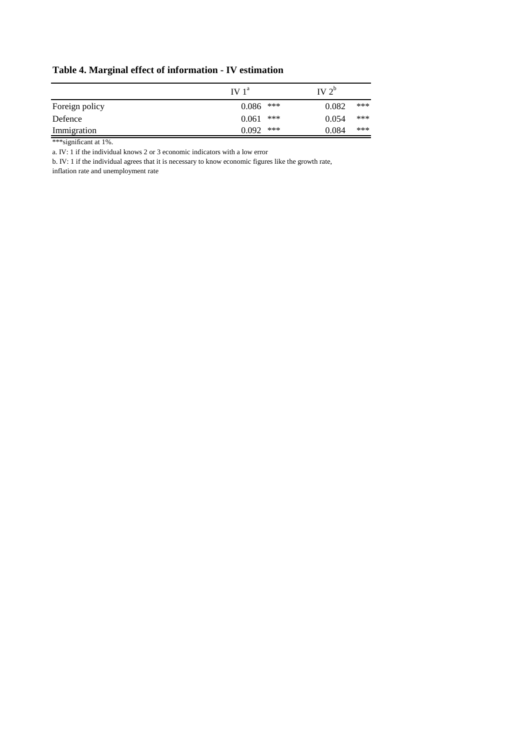|                | IV1 <sup>a</sup> | IV $2^{\circ}$ |  |
|----------------|------------------|----------------|--|
| Foreign policy | ***<br>0.086     | ***<br>0.082   |  |
| Defence        | ***<br>0.061     | ***<br>0.054   |  |
| Immigration    | ***<br>0.092     | ***<br>0.084   |  |

# **Table 4. Marginal effect of information - IV estimation**

\*\*\*significant at 1%.

a. IV: 1 if the individual knows 2 or 3 economic indicators with a low error

b. IV: 1 if the individual agrees that it is necessary to know economic figures like the growth rate,

inflation rate and unemployment rate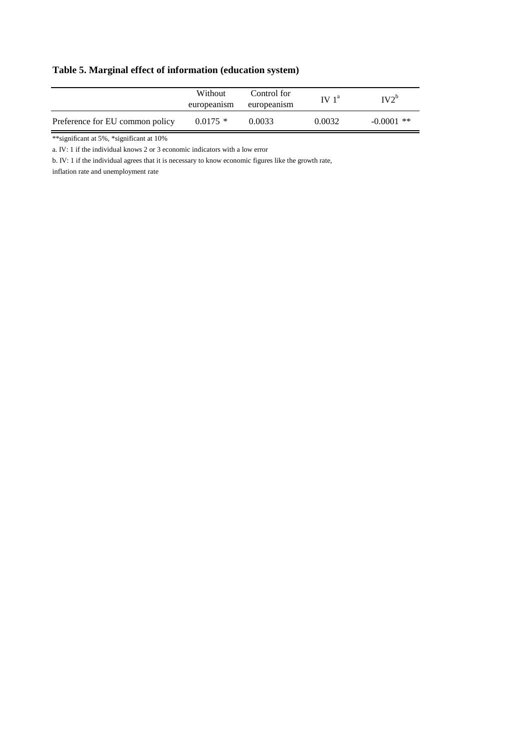# **Table 5. Marginal effect of information (education system)**

|                                 | Without<br>europeanism | Control for<br>europeanism | IV <sup>a</sup> | $IV2^b$      |
|---------------------------------|------------------------|----------------------------|-----------------|--------------|
| Preference for EU common policy | $0.0175$ *             | 0.0033                     | 0.0032          | $-0.0001$ ** |

\*\*significant at 5%, \*significant at 10%

a. IV: 1 if the individual knows 2 or 3 economic indicators with a low error

b. IV: 1 if the individual agrees that it is necessary to know economic figures like the growth rate,

inflation rate and unemployment rate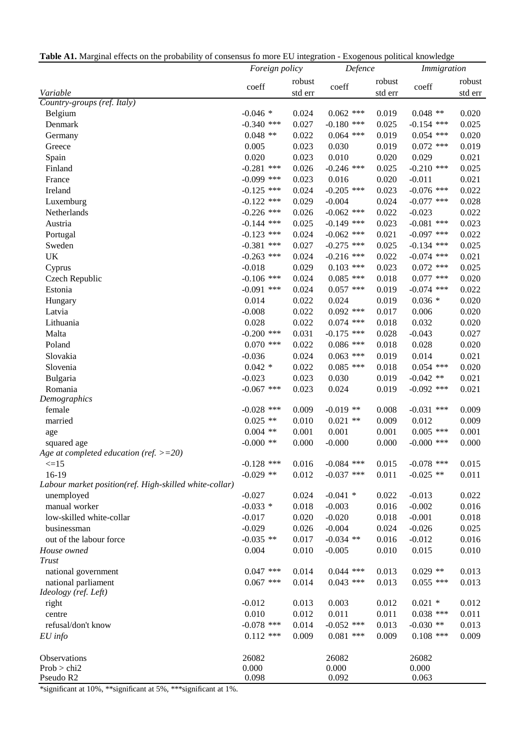**Table A1.** Marginal effects on the probability of consensus fo more EU integration - Exogenous political knowledge

|                                                        | Foreign policy |         | Defence      |         | Immigration  |         |
|--------------------------------------------------------|----------------|---------|--------------|---------|--------------|---------|
|                                                        |                | robust  |              | robust  |              | robust  |
| Variable                                               | coeff          | std err | coeff        | std err | coeff        | std err |
| Country-groups (ref. Italy)                            |                |         |              |         |              |         |
| Belgium                                                | $-0.046*$      | 0.024   | $0.062$ ***  | 0.019   | $0.048$ **   | 0.020   |
| Denmark                                                | $-0.340$ ***   | 0.027   | $-0.180$ *** | 0.025   | $-0.154$ *** | 0.025   |
| Germany                                                | $0.048$ **     | 0.022   | $0.064$ ***  | 0.019   | $0.054$ ***  | 0.020   |
| Greece                                                 | 0.005          | 0.023   | 0.030        | 0.019   | $0.072$ ***  | 0.019   |
| Spain                                                  | 0.020          | 0.023   | 0.010        | 0.020   | 0.029        | 0.021   |
| Finland                                                | $-0.281$ ***   | 0.026   | $-0.246$ *** | 0.025   | $-0.210$ *** | 0.025   |
| France                                                 | $-0.099$ ***   | 0.023   | 0.016        | 0.020   | $-0.011$     | 0.021   |
| Ireland                                                | $-0.125$ ***   | 0.024   | $-0.205$ *** | 0.023   | $-0.076$ *** | 0.022   |
| Luxemburg                                              | $-0.122$ ***   | 0.029   | $-0.004$     | 0.024   | $-0.077$ *** | 0.028   |
| Netherlands                                            | $-0.226$ ***   | 0.026   | $-0.062$ *** | 0.022   | $-0.023$     | 0.022   |
| Austria                                                | $-0.144$ ***   | 0.025   | $-0.149$ *** | 0.023   | $-0.081$ *** | 0.023   |
| Portugal                                               | $-0.123$ ***   | 0.024   | $-0.062$ *** | 0.021   | $-0.097$ *** | 0.022   |
| Sweden                                                 | $-0.381$ ***   | 0.027   | $-0.275$ *** | 0.025   | $-0.134$ *** | 0.025   |
| UK                                                     | $-0.263$ ***   | 0.024   | $-0.216$ *** | 0.022   | $-0.074$ *** | 0.021   |
| Cyprus                                                 | $-0.018$       | 0.029   | $0.103$ ***  | 0.023   | $0.072$ ***  | 0.025   |
| Czech Republic                                         | $-0.106$ ***   | 0.024   | $0.085$ ***  | 0.018   | $0.077$ ***  | 0.020   |
| Estonia                                                | $-0.091$ ***   | 0.024   | $0.057$ ***  | 0.019   | $-0.074$ *** | 0.022   |
| Hungary                                                | 0.014          | 0.022   | 0.024        | 0.019   | $0.036*$     | 0.020   |
| Latvia                                                 | $-0.008$       | 0.022   | $0.092$ ***  | 0.017   | 0.006        | 0.020   |
| Lithuania                                              | 0.028          | 0.022   | $0.074$ ***  | 0.018   | 0.032        | 0.020   |
| Malta                                                  | $-0.200$ ***   | 0.031   | $-0.175$ *** | 0.028   | $-0.043$     | 0.027   |
| Poland                                                 | $0.070$ ***    | 0.022   | $0.086$ ***  | 0.018   | 0.028        | 0.020   |
| Slovakia                                               | $-0.036$       | 0.024   | $0.063$ ***  | 0.019   | 0.014        | 0.021   |
| Slovenia                                               | $0.042 *$      | 0.022   | $0.085$ ***  | 0.018   | $0.054$ ***  | 0.020   |
| Bulgaria                                               | $-0.023$       | 0.023   | 0.030        | 0.019   | $-0.042$ **  | 0.021   |
| Romania                                                | $-0.067$ ***   | 0.023   | 0.024        | 0.019   | $-0.092$ *** | 0.021   |
| Demographics                                           |                |         |              |         |              |         |
| female                                                 | $-0.028$ ***   | 0.009   | $-0.019$ **  | 0.008   | $-0.031$ *** | 0.009   |
| married                                                | $0.025$ **     | 0.010   | $0.021$ **   | 0.009   | 0.012        | 0.009   |
| age                                                    | $0.004$ **     | 0.001   | 0.001        | 0.001   | $0.005$ ***  | 0.001   |
| squared age                                            | $-0.000$ **    | 0.000   | $-0.000$     | 0.000   | $-0.000$ *** | 0.000   |
| Age at completed education (ref. $>=20$ )              |                |         |              |         |              |         |
| $\leq$ =15                                             | $-0.128$ ***   | 0.016   | $-0.084$ *** | 0.015   | $-0.078$ *** | 0.015   |
| 16-19                                                  | $-0.029$ **    | 0.012   | $-0.037$ *** | 0.011   | $-0.025$ **  | 0.011   |
| Labour market position(ref. High-skilled white-collar) |                |         |              |         |              |         |
| unemployed                                             | $-0.027$       | 0.024   | $-0.041$ *   | 0.022   | $-0.013$     | 0.022   |
| manual worker                                          | $-0.033$ *     | 0.018   | $-0.003$     | 0.016   | $-0.002$     | 0.016   |
| low-skilled white-collar                               | $-0.017$       | 0.020   | $-0.020$     | 0.018   | $-0.001$     | 0.018   |
| businessman                                            | $-0.029$       | 0.026   | $-0.004$     | 0.024   | $-0.026$     | 0.025   |
| out of the labour force                                | $-0.035$ **    | 0.017   | $-0.034$ **  | 0.016   | $-0.012$     | 0.016   |
| House owned                                            | 0.004          | 0.010   | $-0.005$     | 0.010   | 0.015        | 0.010   |
| <b>Trust</b>                                           |                |         |              |         |              |         |
| national government                                    | $0.047$ ***    | 0.014   | $0.044$ ***  | 0.013   | $0.029$ **   | 0.013   |
| national parliament                                    | $0.067$ ***    | 0.014   | $0.043$ ***  | 0.013   | $0.055$ ***  | 0.013   |
| Ideology (ref. Left)                                   |                |         |              |         |              |         |
| right                                                  | $-0.012$       | 0.013   | 0.003        | 0.012   | $0.021$ *    | 0.012   |
| centre                                                 | 0.010          | 0.012   | 0.011        | 0.011   | $0.038$ ***  | 0.011   |
| refusal/don't know                                     | $-0.078$ ***   | 0.014   | $-0.052$ *** | 0.013   | $-0.030$ **  | 0.013   |
| $EU$ info                                              | $0.112$ ***    | 0.009   | $0.081$ ***  | 0.009   | $0.108$ ***  | 0.009   |
| Observations                                           | 26082          |         | 26082        |         | 26082        |         |
| Prob > chi2                                            | 0.000          |         | 0.000        |         | 0.000        |         |
| Pseudo R2                                              | 0.098          |         | 0.092        |         | 0.063        |         |

\*significant at 10%, \*\*significant at 5%, \*\*\*significant at 1%.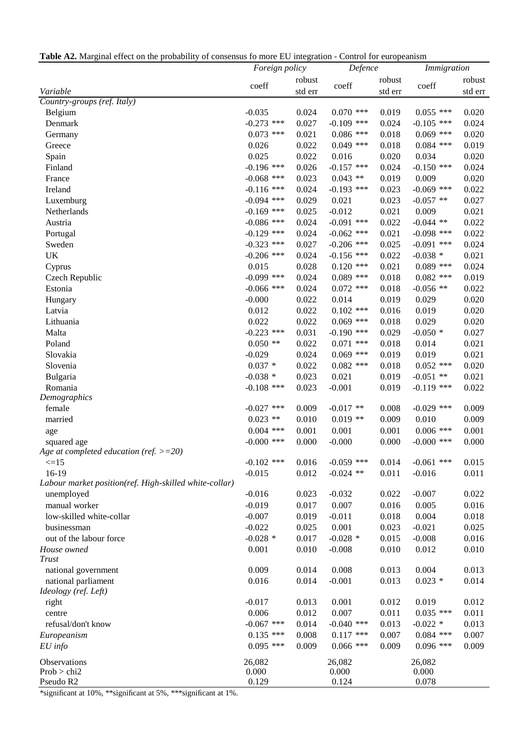**Table A2.** Marginal effect on the probability of consensus fo more EU integration - Control for europeanism

|                                                        | Foreign policy |         | Defence      |         | Immigration  |         |  |
|--------------------------------------------------------|----------------|---------|--------------|---------|--------------|---------|--|
|                                                        |                | robust  |              | robust  |              | robust  |  |
| Variable                                               | coeff          | std err | coeff        | std err | coeff        | std err |  |
| Country-groups (ref. Italy)                            |                |         |              |         |              |         |  |
| Belgium                                                | $-0.035$       | 0.024   | $0.070$ ***  | 0.019   | $0.055$ ***  | 0.020   |  |
| Denmark                                                | $-0.273$ ***   | 0.027   | $-0.109$ *** | 0.024   | $-0.105$ *** | 0.024   |  |
| Germany                                                | $0.073$ ***    | 0.021   | $0.086$ ***  | 0.018   | $0.069$ ***  | 0.020   |  |
| Greece                                                 | 0.026          | 0.022   | $0.049$ ***  | 0.018   | $0.084$ ***  | 0.019   |  |
| Spain                                                  | 0.025          | 0.022   | 0.016        | 0.020   | 0.034        | 0.020   |  |
| Finland                                                | $-0.196$ ***   | 0.026   | $-0.157$ *** | 0.024   | $-0.150$ *** | 0.024   |  |
| France                                                 | $-0.068$ ***   | 0.023   | $0.043$ **   | 0.019   | 0.009        | 0.020   |  |
| Ireland                                                | $-0.116$ ***   | 0.024   | $-0.193$ *** | 0.023   | $-0.069$ *** | 0.022   |  |
| Luxemburg                                              | $-0.094$ ***   | 0.029   | 0.021        | 0.023   | $-0.057$ **  | 0.027   |  |
| Netherlands                                            | $-0.169$ ***   | 0.025   | $-0.012$     | 0.021   | 0.009        | 0.021   |  |
| Austria                                                | $-0.086$ ***   | 0.024   | $-0.091$ *** | 0.022   | $-0.044$ **  | 0.022   |  |
| Portugal                                               | $-0.129$ ***   | 0.024   | $-0.062$ *** | 0.021   | $-0.098$ *** | 0.022   |  |
| Sweden                                                 | $-0.323$ ***   | 0.027   | $-0.206$ *** | 0.025   | $-0.091$ *** | 0.024   |  |
| UK                                                     | $-0.206$ ***   | 0.024   | $-0.156$ *** | 0.022   | $-0.038*$    | 0.021   |  |
| Cyprus                                                 | 0.015          | 0.028   | $0.120$ ***  | 0.021   | $0.089$ ***  | 0.024   |  |
| Czech Republic                                         | $-0.099$ ***   | 0.024   | $0.089$ ***  | 0.018   | $0.082$ ***  | 0.019   |  |
| Estonia                                                | $-0.066$ ***   | 0.024   | $0.072$ ***  | 0.018   | $-0.056$ **  | 0.022   |  |
| Hungary                                                | $-0.000$       | 0.022   | 0.014        | 0.019   | 0.029        | 0.020   |  |
| Latvia                                                 | 0.012          | 0.022   | $0.102$ ***  | 0.016   | 0.019        | 0.020   |  |
| Lithuania                                              | 0.022          | 0.022   | $0.069$ ***  | 0.018   | 0.029        | 0.020   |  |
| Malta                                                  | $-0.223$ ***   | 0.031   | $-0.190$ *** | 0.029   | $-0.050*$    | 0.027   |  |
| Poland                                                 | $0.050$ **     | 0.022   | $0.071$ ***  | 0.018   | 0.014        | 0.021   |  |
| Slovakia                                               | $-0.029$       | 0.024   | $0.069$ ***  | 0.019   | 0.019        | 0.021   |  |
| Slovenia                                               | $0.037 *$      | 0.022   | $0.082$ ***  | 0.018   | $0.052$ ***  | 0.020   |  |
| Bulgaria                                               | $-0.038$ *     | 0.023   | 0.021        | 0.019   | $-0.051$ **  | 0.021   |  |
| Romania                                                | $-0.108$ ***   | 0.023   | $-0.001$     | 0.019   | $-0.119$ *** | 0.022   |  |
| Demographics                                           |                |         |              |         |              |         |  |
| female                                                 | $-0.027$ ***   | 0.009   | $-0.017$ **  | 0.008   | $-0.029$ *** | 0.009   |  |
| married                                                | $0.023$ **     | 0.010   | $0.019**$    | 0.009   | 0.010        | 0.009   |  |
| age                                                    | $0.004$ ***    | 0.001   | 0.001        | 0.001   | $0.006$ ***  | 0.001   |  |
| squared age                                            | $-0.000$ ***   | 0.000   | $-0.000$     | 0.000   | $-0.000$ *** | 0.000   |  |
| Age at completed education (ref. $>=20$ )              |                |         |              |         |              |         |  |
| $\leq 15$                                              | $-0.102$ ***   | 0.016   | $-0.059$ *** | 0.014   | $-0.061$ *** | 0.015   |  |
| 16-19                                                  | $-0.015$       | 0.012   | $-0.024$ **  | 0.011   | $-0.016$     | 0.011   |  |
| Labour market position(ref. High-skilled white-collar) |                |         |              |         |              |         |  |
| unemployed                                             | $-0.016$       | 0.023   | $-0.032$     | 0.022   | $-0.007$     | 0.022   |  |
| manual worker                                          | $-0.019$       | 0.017   | 0.007        | 0.016   | 0.005        | 0.016   |  |
| low-skilled white-collar                               | $-0.007$       | 0.019   | $-0.011$     | 0.018   | 0.004        | 0.018   |  |
| businessman                                            | $-0.022$       | 0.025   | 0.001        | 0.023   | $-0.021$     | 0.025   |  |
| out of the labour force                                | $-0.028$ *     | 0.017   | $-0.028$ *   | 0.015   | $-0.008$     | 0.016   |  |
| House owned                                            | 0.001          | 0.010   | $-0.008$     | 0.010   | 0.012        | 0.010   |  |
| Trust                                                  |                |         |              |         |              |         |  |
| national government                                    | 0.009          | 0.014   | 0.008        | 0.013   | 0.004        | 0.013   |  |
| national parliament                                    | 0.016          | 0.014   | $-0.001$     | 0.013   | $0.023$ *    | 0.014   |  |
| Ideology (ref. Left)                                   |                |         |              |         |              |         |  |
| right                                                  | $-0.017$       | 0.013   | 0.001        | 0.012   | 0.019        | 0.012   |  |
| centre                                                 | 0.006          | 0.012   | 0.007        | 0.011   | $0.035$ ***  | 0.011   |  |
| refusal/don't know                                     | $-0.067$ ***   | 0.014   | $-0.040$ *** | 0.013   | $-0.022$ *   | 0.013   |  |
| Europeanism                                            | $0.135$ ***    | 0.008   | $0.117$ ***  | 0.007   | $0.084$ ***  | 0.007   |  |
| $EU$ info                                              | $0.095$ ***    | 0.009   | $0.066$ ***  | 0.009   | $0.096$ ***  | 0.009   |  |
| Observations                                           | 26,082         |         | 26,082       |         | 26,082       |         |  |
| Prob > chi2                                            | 0.000          |         | 0.000        |         | 0.000        |         |  |
| Pseudo R2                                              | 0.129          |         | 0.124        |         | 0.078        |         |  |

\*significant at 10%, \*\*significant at 5%, \*\*\*significant at 1%.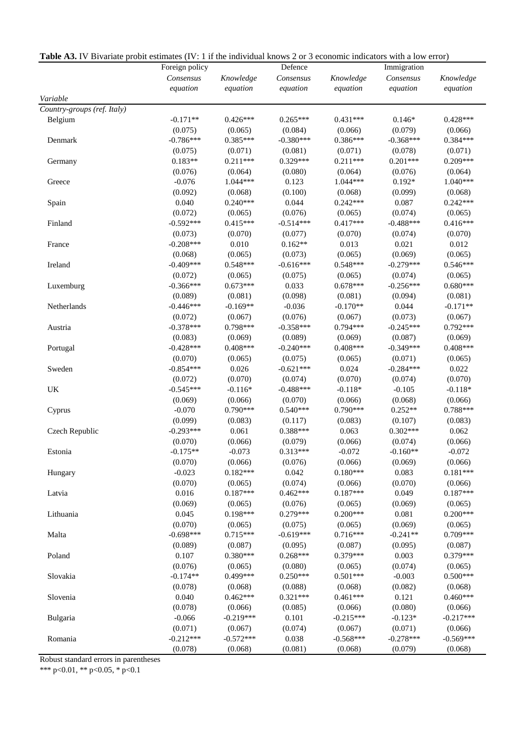|                             | Defence<br>Foreign policy |                       |                        |                       | Immigration      |                       |  |
|-----------------------------|---------------------------|-----------------------|------------------------|-----------------------|------------------|-----------------------|--|
|                             | Consensus                 | Knowledge             | Consensus              | Knowledge             | Consensus        | Knowledge             |  |
|                             | equation                  | equation              | equation               | equation              | equation         | equation              |  |
| Variable                    |                           |                       |                        |                       |                  |                       |  |
| Country-groups (ref. Italy) |                           |                       |                        |                       |                  |                       |  |
| Belgium                     | $-0.171**$                | $0.426***$            | $0.265***$             | $0.431***$            | $0.146*$         | $0.428***$            |  |
|                             | (0.075)                   | (0.065)               | (0.084)                | (0.066)               | (0.079)          | (0.066)               |  |
| Denmark                     | $-0.786***$               | $0.385***$            | $-0.380***$            | $0.386***$            | $-0.368***$      | $0.384***$            |  |
|                             | (0.075)                   | (0.071)               | (0.081)                | (0.071)               | (0.078)          | (0.071)               |  |
| Germany                     | $0.183**$                 | $0.211***$            | 0.329***               | $0.211***$            | $0.201***$       | $0.209***$            |  |
|                             | (0.076)                   | (0.064)               | (0.080)                | (0.064)               | (0.076)          | (0.064)               |  |
| Greece                      | $-0.076$                  | 1.044***              | 0.123                  | 1.044***              | $0.192*$         | 1.040***              |  |
|                             | (0.092)                   | (0.068)               | (0.100)                | (0.068)               | (0.099)          | (0.068)               |  |
| Spain                       | 0.040                     | $0.240***$            | 0.044                  | $0.242***$            | 0.087            | $0.242***$            |  |
|                             | (0.072)                   | (0.065)               | (0.076)                | (0.065)               | (0.074)          | (0.065)               |  |
| Finland                     | $-0.592***$               | $0.415***$            | $-0.514***$            | $0.417***$            | $-0.488***$      | $0.416***$            |  |
|                             | (0.073)                   | (0.070)               | (0.077)                | (0.070)               | (0.074)          | (0.070)               |  |
| France                      | $-0.208***$               | 0.010                 | $0.162**$              | 0.013                 | 0.021            | 0.012                 |  |
|                             | (0.068)                   | (0.065)               | (0.073)                | (0.065)               | (0.069)          | (0.065)               |  |
| Ireland                     | $-0.409***$               | $0.548***$            | $-0.616***$            | $0.548***$            | $-0.279***$      | $0.546***$            |  |
|                             | (0.072)                   | (0.065)               | (0.075)                | (0.065)               | (0.074)          | (0.065)               |  |
| Luxemburg                   | $-0.366***$               | $0.673***$            | 0.033                  | $0.678***$            | $-0.256***$      | $0.680***$            |  |
|                             | (0.089)                   | (0.081)               | (0.098)                | (0.081)               | (0.094)          | (0.081)               |  |
| Netherlands                 | $-0.446***$               | $-0.169**$            | $-0.036$               | $-0.170**$            | 0.044            | $-0.171**$            |  |
|                             | (0.072)                   | (0.067)               | (0.076)                | (0.067)               | (0.073)          | (0.067)               |  |
| Austria                     | $-0.378***$               | $0.798***$            | $-0.358***$            | $0.794***$            | $-0.245***$      | $0.792***$            |  |
|                             | (0.083)                   | (0.069)               | (0.089)                | (0.069)               | (0.087)          | (0.069)               |  |
| Portugal                    | $-0.428***$               | $0.408***$            | $-0.240***$            | $0.408***$            | $-0.349***$      | $0.408***$            |  |
|                             | (0.070)                   | (0.065)               | (0.075)                | (0.065)               | (0.071)          | (0.065)               |  |
| Sweden                      | $-0.854***$               | 0.026                 | $-0.621***$            | 0.024                 | $-0.284***$      | 0.022                 |  |
|                             | (0.072)                   | (0.070)               | (0.074)                | (0.070)               | (0.074)          | (0.070)               |  |
| UK                          | $-0.545***$               | $-0.116*$             | $-0.488***$            | $-0.118*$             | $-0.105$         | $-0.118*$             |  |
|                             | (0.069)                   | (0.066)               | (0.070)                | (0.066)               | (0.068)          | (0.066)               |  |
| Cyprus                      | $-0.070$                  | $0.790***$            | $0.540***$             | $0.790***$            | $0.252**$        | 0.788***              |  |
|                             | (0.099)                   | (0.083)               | (0.117)                | (0.083)               | (0.107)          | (0.083)               |  |
| Czech Republic              | $-0.293***$               | 0.061                 | 0.388***               | 0.063                 | $0.302***$       | 0.062                 |  |
|                             | (0.070)                   | (0.066)               | (0.079)                | (0.066)               | (0.074)          | (0.066)               |  |
| Estonia                     | $-0.175**$                | $-0.073$              | $0.313***$             | $-0.072$              | $-0.160**$       | $-0.072$              |  |
|                             | (0.070)                   | (0.066)               | (0.076)                | (0.066)               | (0.069)          | (0.066)               |  |
| Hungary                     | $-0.023$                  | $0.182***$            | 0.042                  | $0.180***$            | 0.083            | $0.181***$            |  |
|                             | (0.070)                   | (0.065)               | (0.074)<br>$0.462***$  | (0.066)               | (0.070)          | (0.066)               |  |
| Latvia                      | 0.016                     | $0.187***$            |                        | $0.187***$            | 0.049            | $0.187***$            |  |
| Lithuania                   | (0.069)<br>0.045          | (0.065)<br>0.198***   | (0.076)<br>0.279***    | (0.065)<br>$0.200***$ | (0.069)<br>0.081 | (0.065)<br>$0.200***$ |  |
|                             | (0.070)                   |                       |                        |                       | (0.069)          |                       |  |
|                             | $-0.698***$               | (0.065)<br>$0.715***$ | (0.075)<br>$-0.619***$ | (0.065)<br>$0.716***$ | $-0.241**$       | (0.065)<br>0.709***   |  |
| Malta                       |                           | (0.087)               |                        |                       |                  |                       |  |
|                             | (0.089)<br>0.107          | $0.380***$            | (0.095)<br>$0.268***$  | (0.087)<br>$0.379***$ | (0.095)<br>0.003 | (0.087)<br>0.379***   |  |
| Poland                      | (0.076)                   |                       |                        |                       | (0.074)          |                       |  |
|                             | $-0.174**$                | (0.065)<br>$0.499***$ | (0.080)<br>$0.250***$  | (0.065)<br>$0.501***$ | $-0.003$         | (0.065)<br>$0.500***$ |  |
| Slovakia                    | (0.078)                   |                       |                        |                       | (0.082)          |                       |  |
| Slovenia                    | 0.040                     | (0.068)<br>$0.462***$ | (0.088)<br>$0.321***$  | (0.068)<br>$0.461***$ | 0.121            | (0.068)<br>$0.460***$ |  |
|                             | (0.078)                   | (0.066)               | (0.085)                | (0.066)               | (0.080)          | (0.066)               |  |
|                             | $-0.066$                  | $-0.219***$           | 0.101                  | $-0.215***$           | $-0.123*$        | $-0.217***$           |  |
| Bulgaria                    | (0.071)                   | (0.067)               | (0.074)                | (0.067)               | (0.071)          | (0.066)               |  |
| Romania                     | $-0.212***$               | $-0.572***$           | 0.038                  | $-0.568***$           | $-0.278***$      | $-0.569***$           |  |
|                             | (0.078)                   | (0.068)               | (0.081)                | (0.068)               | (0.079)          | (0.068)               |  |
|                             |                           |                       |                        |                       |                  |                       |  |

**Table A3.** IV Bivariate probit estimates (IV: 1 if the individual knows 2 or 3 economic indicators with a low error)

Robust standard errors in parentheses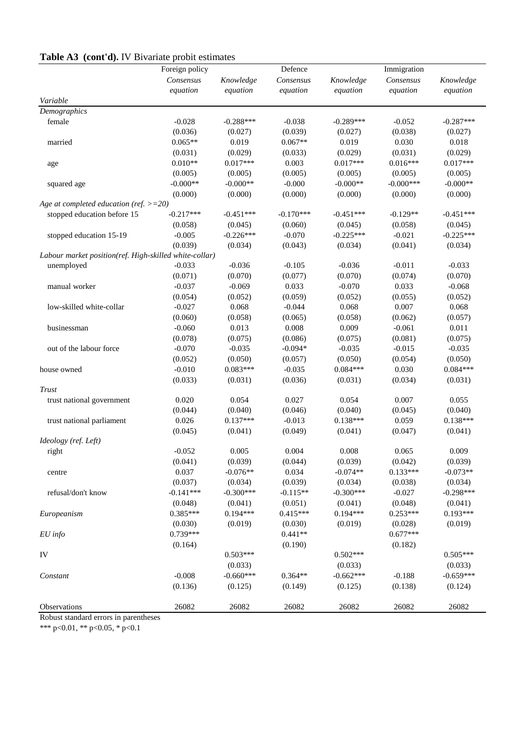# **Table A3 (cont'd).** IV Bivariate probit estimates

|                                                        | $\sim$ $\sim$ $\sim$<br>Foreign policy |             | Defence     |             | Immigration  |             |
|--------------------------------------------------------|----------------------------------------|-------------|-------------|-------------|--------------|-------------|
|                                                        | Consensus                              | Knowledge   | Consensus   | Knowledge   | Consensus    | Knowledge   |
|                                                        | equation                               | equation    | equation    | equation    | equation     | equation    |
| Variable                                               |                                        |             |             |             |              |             |
| Demographics                                           |                                        |             |             |             |              |             |
| female                                                 | $-0.028$                               | $-0.288***$ | $-0.038$    | $-0.289***$ | $-0.052$     | $-0.287***$ |
|                                                        | (0.036)                                | (0.027)     | (0.039)     | (0.027)     | (0.038)      | (0.027)     |
| married                                                | $0.065**$                              | 0.019       | $0.067**$   | 0.019       | 0.030        | 0.018       |
|                                                        | (0.031)                                | (0.029)     | (0.033)     | (0.029)     | (0.031)      | (0.029)     |
| age                                                    | $0.010**$                              | $0.017***$  | 0.003       | $0.017***$  | $0.016***$   | $0.017***$  |
|                                                        | (0.005)                                | (0.005)     | (0.005)     | (0.005)     | (0.005)      | (0.005)     |
| squared age                                            | $-0.000**$                             | $-0.000**$  | $-0.000$    | $-0.000**$  | $-0.000$ *** | $-0.000**$  |
|                                                        | (0.000)                                | (0.000)     | (0.000)     | (0.000)     | (0.000)      | (0.000)     |
| Age at completed education (ref. $>=20$ )              |                                        |             |             |             |              |             |
| stopped education before 15                            | $-0.217***$                            | $-0.451***$ | $-0.170***$ | $-0.451***$ | $-0.129**$   | $-0.451***$ |
|                                                        | (0.058)                                | (0.045)     | (0.060)     | (0.045)     | (0.058)      | (0.045)     |
| stopped education 15-19                                | $-0.005$                               | $-0.226***$ | $-0.070$    | $-0.225***$ | $-0.021$     | $-0.225***$ |
|                                                        | (0.039)                                | (0.034)     | (0.043)     | (0.034)     | (0.041)      | (0.034)     |
| Labour market position(ref. High-skilled white-collar) |                                        |             |             |             |              |             |
| unemployed                                             | $-0.033$                               | $-0.036$    | $-0.105$    | $-0.036$    | $-0.011$     | $-0.033$    |
|                                                        | (0.071)                                | (0.070)     | (0.077)     | (0.070)     | (0.074)      | (0.070)     |
| manual worker                                          | $-0.037$                               | $-0.069$    | 0.033       | $-0.070$    | 0.033        | $-0.068$    |
|                                                        | (0.054)                                | (0.052)     | (0.059)     | (0.052)     | (0.055)      | (0.052)     |
| low-skilled white-collar                               | $-0.027$                               | 0.068       | $-0.044$    | 0.068       | 0.007        | 0.068       |
|                                                        | (0.060)                                | (0.058)     | (0.065)     | (0.058)     | (0.062)      | (0.057)     |
| businessman                                            | $-0.060$                               | 0.013       | 0.008       | 0.009       | $-0.061$     | 0.011       |
|                                                        | (0.078)                                | (0.075)     | (0.086)     | (0.075)     | (0.081)      | (0.075)     |
| out of the labour force                                | $-0.070$                               | $-0.035$    | $-0.094*$   | $-0.035$    | $-0.015$     | $-0.035$    |
|                                                        | (0.052)                                | (0.050)     | (0.057)     | (0.050)     | (0.054)      | (0.050)     |
| house owned                                            | $-0.010$                               | $0.083***$  | $-0.035$    | $0.084***$  | 0.030        | $0.084***$  |
|                                                        | (0.033)                                | (0.031)     | (0.036)     | (0.031)     | (0.034)      | (0.031)     |
| Trust                                                  |                                        |             |             |             |              |             |
| trust national government                              | 0.020                                  | 0.054       | 0.027       | 0.054       | 0.007        | 0.055       |
|                                                        | (0.044)                                | (0.040)     | (0.046)     | (0.040)     | (0.045)      | (0.040)     |
| trust national parliament                              | 0.026                                  | $0.137***$  | $-0.013$    | $0.138***$  | 0.059        | $0.138***$  |
|                                                        | (0.045)                                | (0.041)     | (0.049)     | (0.041)     | (0.047)      | (0.041)     |
| Ideology (ref. Left)                                   |                                        |             |             |             |              |             |
| right                                                  | $-0.052$                               | 0.005       | 0.004       | 0.008       | 0.065        | 0.009       |
|                                                        | (0.041)                                | (0.039)     | (0.044)     | (0.039)     | (0.042)      | (0.039)     |
| centre                                                 | 0.037                                  | $-0.076**$  | 0.034       | $-0.074**$  | $0.133***$   | $-0.073**$  |
|                                                        | (0.037)                                | (0.034)     | (0.039)     | (0.034)     | (0.038)      | (0.034)     |
| refusal/don't know                                     | $-0.141***$                            | $-0.300***$ | $-0.115**$  | $-0.300***$ | $-0.027$     | $-0.298***$ |
|                                                        | (0.048)                                | (0.041)     | (0.051)     | (0.041)     | (0.048)      | (0.041)     |
| Europeanism                                            | $0.385***$                             | $0.194***$  | $0.415***$  | $0.194***$  | $0.253***$   | $0.193***$  |
|                                                        | (0.030)                                | (0.019)     | (0.030)     | (0.019)     | (0.028)      | (0.019)     |
| $EU$ info                                              | 0.739***                               |             | $0.441**$   |             | $0.677***$   |             |
|                                                        | (0.164)                                |             | (0.190)     |             | (0.182)      |             |
| IV                                                     |                                        | $0.503***$  |             | $0.502***$  |              | $0.505***$  |
|                                                        |                                        | (0.033)     |             | (0.033)     |              | (0.033)     |
| Constant                                               | $-0.008$                               | $-0.660***$ | $0.364**$   | $-0.662***$ | $-0.188$     | $-0.659***$ |
|                                                        | (0.136)                                | (0.125)     | (0.149)     | (0.125)     | (0.138)      | (0.124)     |
|                                                        |                                        |             |             |             |              |             |
| Observations                                           | 26082                                  | 26082       | 26082       | 26082       | 26082        | 26082       |

Robust standard errors in parentheses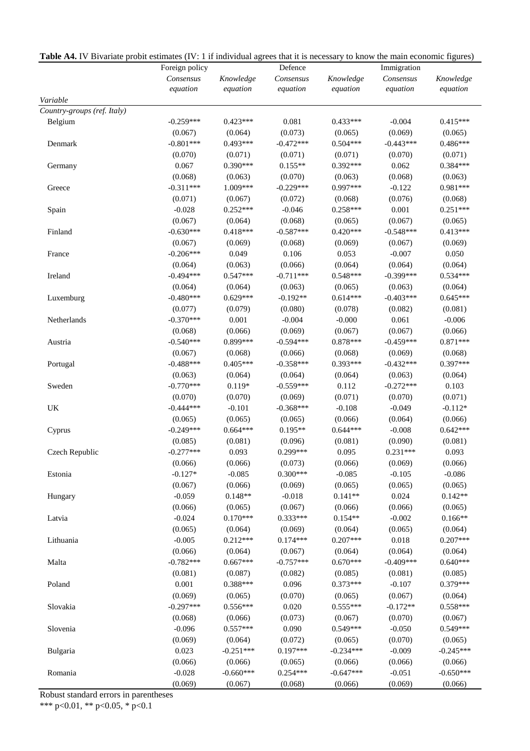|                             | Foreign policy |             | Defence     |             | Immigration |             |
|-----------------------------|----------------|-------------|-------------|-------------|-------------|-------------|
|                             | Consensus      | Knowledge   | Consensus   | Knowledge   | Consensus   | Knowledge   |
|                             | equation       | equation    | equation    | equation    | equation    | equation    |
| Variable                    |                |             |             |             |             |             |
| Country-groups (ref. Italy) |                |             |             |             |             |             |
| Belgium                     | $-0.259***$    | $0.423***$  | 0.081       | $0.433***$  | $-0.004$    | $0.415***$  |
|                             | (0.067)        | (0.064)     | (0.073)     | (0.065)     | (0.069)     | (0.065)     |
| Denmark                     | $-0.801***$    | $0.493***$  | $-0.472***$ | $0.504***$  | $-0.443***$ | $0.486***$  |
|                             | (0.070)        | (0.071)     | (0.071)     | (0.071)     | (0.070)     | (0.071)     |
| Germany                     | 0.067          | $0.390***$  | $0.155**$   | $0.392***$  | 0.062       | $0.384***$  |
|                             | (0.068)        | (0.063)     | (0.070)     | (0.063)     | (0.068)     | (0.063)     |
| Greece                      | $-0.311***$    | 1.009***    | $-0.229***$ | 0.997***    | $-0.122$    | 0.981***    |
|                             | (0.071)        | (0.067)     | (0.072)     | (0.068)     | (0.076)     | (0.068)     |
| Spain                       | $-0.028$       | $0.252***$  | $-0.046$    | $0.258***$  | 0.001       | $0.251***$  |
|                             | (0.067)        | (0.064)     | (0.068)     | (0.065)     | (0.067)     | (0.065)     |
| Finland                     | $-0.630***$    | $0.418***$  | $-0.587***$ | $0.420***$  | $-0.548***$ | $0.413***$  |
|                             | (0.067)        | (0.069)     | (0.068)     | (0.069)     | (0.067)     | (0.069)     |
| France                      | $-0.206***$    | 0.049       | 0.106       | 0.053       | $-0.007$    | 0.050       |
|                             | (0.064)        | (0.063)     | (0.066)     | (0.064)     | (0.064)     | (0.064)     |
| Ireland                     | $-0.494***$    | $0.547***$  | $-0.711***$ | $0.548***$  | $-0.399***$ | $0.534***$  |
|                             | (0.064)        | (0.064)     | (0.063)     | (0.065)     | (0.063)     | (0.064)     |
| Luxemburg                   | $-0.480***$    | $0.629***$  | $-0.192**$  | $0.614***$  | $-0.403***$ | $0.645***$  |
|                             | (0.077)        | (0.079)     | (0.080)     | (0.078)     | (0.082)     | (0.081)     |
| Netherlands                 | $-0.370***$    | 0.001       | $-0.004$    | $-0.000$    | 0.061       | $-0.006$    |
|                             | (0.068)        | (0.066)     | (0.069)     | (0.067)     | (0.067)     | (0.066)     |
| Austria                     | $-0.540***$    | 0.899***    | $-0.594***$ | $0.878***$  | $-0.459***$ | $0.871***$  |
|                             | (0.067)        | (0.068)     | (0.066)     | (0.068)     | (0.069)     | (0.068)     |
| Portugal                    | $-0.488***$    | $0.405***$  | $-0.358***$ | $0.393***$  | $-0.432***$ | 0.397***    |
|                             | (0.063)        | (0.064)     | (0.064)     | (0.064)     | (0.063)     | (0.064)     |
| Sweden                      | $-0.770***$    | $0.119*$    | $-0.559***$ | 0.112       | $-0.272***$ | 0.103       |
|                             | (0.070)        | (0.070)     | (0.069)     | (0.071)     | (0.070)     | (0.071)     |
| UK                          | $-0.444***$    | $-0.101$    | $-0.368***$ | $-0.108$    | $-0.049$    | $-0.112*$   |
|                             | (0.065)        | (0.065)     | (0.065)     | (0.066)     | (0.064)     | (0.066)     |
| Cyprus                      | $-0.249***$    | $0.664***$  | $0.195**$   | $0.644***$  | $-0.008$    | $0.642***$  |
|                             | (0.085)        | (0.081)     | (0.096)     | (0.081)     | (0.090)     | (0.081)     |
| Czech Republic              | $-0.277***$    | 0.093       | $0.299***$  | 0.095       | $0.231***$  | 0.093       |
|                             | (0.066)        | (0.066)     | (0.073)     | (0.066)     | (0.069)     | (0.066)     |
| Estonia                     | $-0.127*$      | $-0.085$    | $0.300***$  | $-0.085$    | $-0.105$    | $-0.086$    |
|                             | (0.067)        | (0.066)     | (0.069)     | (0.065)     | (0.065)     | (0.065)     |
| Hungary                     | $-0.059$       | $0.148**$   | $-0.018$    | $0.141**$   | 0.024       | $0.142**$   |
|                             | (0.066)        | (0.065)     | (0.067)     | (0.066)     | (0.066)     | (0.065)     |
| Latvia                      | $-0.024$       | $0.170***$  | $0.333***$  | $0.154**$   | $-0.002$    | $0.166**$   |
|                             | (0.065)        | (0.064)     | (0.069)     | (0.064)     | (0.065)     | (0.064)     |
| Lithuania                   | $-0.005$       | $0.212***$  | $0.174***$  | $0.207***$  | 0.018       | $0.207***$  |
|                             | (0.066)        | (0.064)     | (0.067)     | (0.064)     | (0.064)     | (0.064)     |
| Malta                       | $-0.782***$    | $0.667***$  | $-0.757***$ | $0.670***$  | $-0.409***$ | $0.640***$  |
|                             | (0.081)        | (0.087)     | (0.082)     | (0.085)     | (0.081)     | (0.085)     |
| Poland                      | 0.001          | $0.388***$  | 0.096       | $0.373***$  | $-0.107$    | 0.379***    |
|                             | (0.069)        | (0.065)     | (0.070)     | (0.065)     | (0.067)     | (0.064)     |
| Slovakia                    | $-0.297***$    | $0.556***$  | 0.020       | $0.555***$  | $-0.172**$  | 0.558***    |
|                             | (0.068)        | (0.066)     | (0.073)     | (0.067)     | (0.070)     | (0.067)     |
| Slovenia                    | $-0.096$       | $0.557***$  | 0.090       | $0.549***$  | $-0.050$    | $0.549***$  |
|                             | (0.069)        | (0.064)     | (0.072)     | (0.065)     | (0.070)     | (0.065)     |
| Bulgaria                    | 0.023          | $-0.251***$ | 0.197***    | $-0.234***$ | $-0.009$    | $-0.245***$ |
|                             | (0.066)        | (0.066)     | (0.065)     | (0.066)     | (0.066)     | (0.066)     |
| Romania                     | $-0.028$       | $-0.660***$ | $0.254***$  | $-0.647***$ | $-0.051$    | $-0.650***$ |
|                             | (0.069)        | (0.067)     | (0.068)     | (0.066)     | (0.069)     | (0.066)     |

**Table A4.** IV Bivariate probit estimates (IV: 1 if individual agrees that it is necessary to know the main economic figures)

Robust standard errors in parentheses